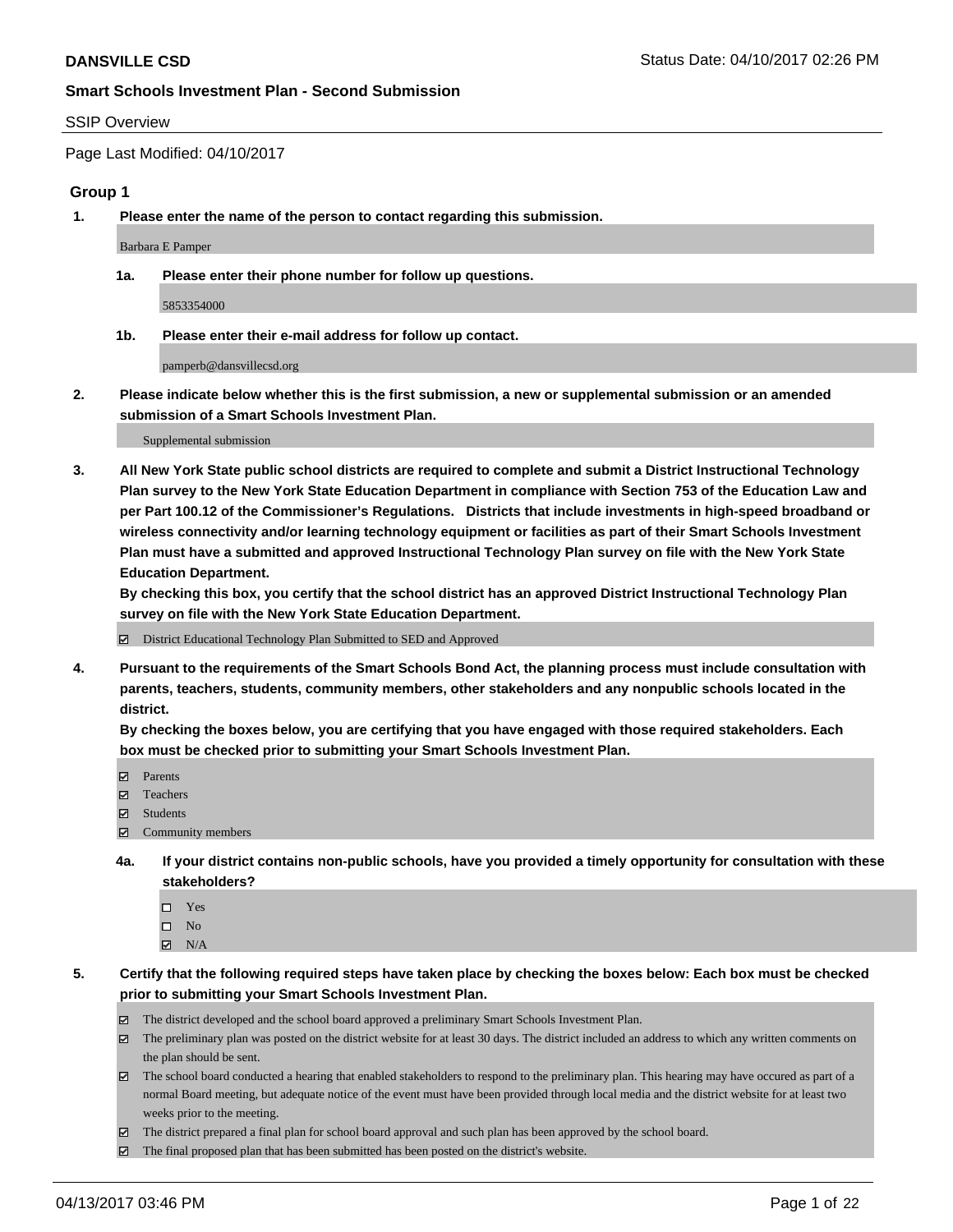#### SSIP Overview

Page Last Modified: 04/10/2017

#### **Group 1**

**1. Please enter the name of the person to contact regarding this submission.**

Barbara E Pamper

**1a. Please enter their phone number for follow up questions.**

5853354000

**1b. Please enter their e-mail address for follow up contact.**

pamperb@dansvillecsd.org

**2. Please indicate below whether this is the first submission, a new or supplemental submission or an amended submission of a Smart Schools Investment Plan.**

Supplemental submission

**3. All New York State public school districts are required to complete and submit a District Instructional Technology Plan survey to the New York State Education Department in compliance with Section 753 of the Education Law and per Part 100.12 of the Commissioner's Regulations. Districts that include investments in high-speed broadband or wireless connectivity and/or learning technology equipment or facilities as part of their Smart Schools Investment Plan must have a submitted and approved Instructional Technology Plan survey on file with the New York State Education Department.** 

**By checking this box, you certify that the school district has an approved District Instructional Technology Plan survey on file with the New York State Education Department.**

District Educational Technology Plan Submitted to SED and Approved

**4. Pursuant to the requirements of the Smart Schools Bond Act, the planning process must include consultation with parents, teachers, students, community members, other stakeholders and any nonpublic schools located in the district.** 

**By checking the boxes below, you are certifying that you have engaged with those required stakeholders. Each box must be checked prior to submitting your Smart Schools Investment Plan.**

- **マ** Parents
- □ Teachers
- Students
- $\Xi$  Community members
- **4a. If your district contains non-public schools, have you provided a timely opportunity for consultation with these stakeholders?**
	- Yes
	- $\hfill \square$  No
	- $\boxtimes$  N/A
- **5. Certify that the following required steps have taken place by checking the boxes below: Each box must be checked prior to submitting your Smart Schools Investment Plan.**
	- The district developed and the school board approved a preliminary Smart Schools Investment Plan.
	- $\boxtimes$  The preliminary plan was posted on the district website for at least 30 days. The district included an address to which any written comments on the plan should be sent.
	- $\boxtimes$  The school board conducted a hearing that enabled stakeholders to respond to the preliminary plan. This hearing may have occured as part of a normal Board meeting, but adequate notice of the event must have been provided through local media and the district website for at least two weeks prior to the meeting.
	- The district prepared a final plan for school board approval and such plan has been approved by the school board.
	- $\boxtimes$  The final proposed plan that has been submitted has been posted on the district's website.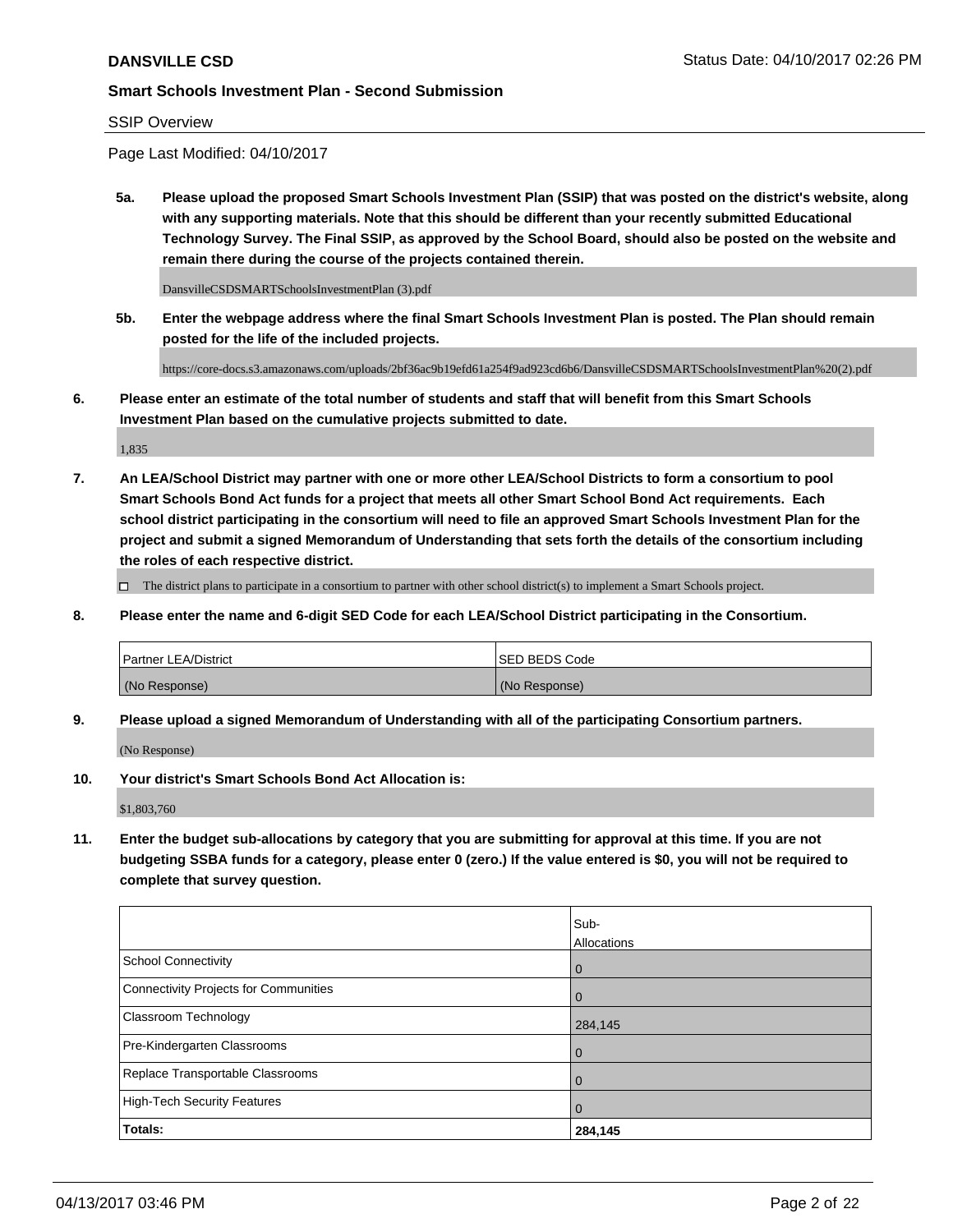#### SSIP Overview

Page Last Modified: 04/10/2017

**5a. Please upload the proposed Smart Schools Investment Plan (SSIP) that was posted on the district's website, along with any supporting materials. Note that this should be different than your recently submitted Educational Technology Survey. The Final SSIP, as approved by the School Board, should also be posted on the website and remain there during the course of the projects contained therein.**

DansvilleCSDSMARTSchoolsInvestmentPlan (3).pdf

**5b. Enter the webpage address where the final Smart Schools Investment Plan is posted. The Plan should remain posted for the life of the included projects.**

https://core-docs.s3.amazonaws.com/uploads/2bf36ac9b19efd61a254f9ad923cd6b6/DansvilleCSDSMARTSchoolsInvestmentPlan%20(2).pdf

**6. Please enter an estimate of the total number of students and staff that will benefit from this Smart Schools Investment Plan based on the cumulative projects submitted to date.**

1,835

**7. An LEA/School District may partner with one or more other LEA/School Districts to form a consortium to pool Smart Schools Bond Act funds for a project that meets all other Smart School Bond Act requirements. Each school district participating in the consortium will need to file an approved Smart Schools Investment Plan for the project and submit a signed Memorandum of Understanding that sets forth the details of the consortium including the roles of each respective district.**

 $\Box$  The district plans to participate in a consortium to partner with other school district(s) to implement a Smart Schools project.

**8. Please enter the name and 6-digit SED Code for each LEA/School District participating in the Consortium.**

| <b>Partner LEA/District</b> | <b>ISED BEDS Code</b> |
|-----------------------------|-----------------------|
| (No Response)               | (No Response)         |

**9. Please upload a signed Memorandum of Understanding with all of the participating Consortium partners.**

(No Response)

**10. Your district's Smart Schools Bond Act Allocation is:**

\$1,803,760

**11. Enter the budget sub-allocations by category that you are submitting for approval at this time. If you are not budgeting SSBA funds for a category, please enter 0 (zero.) If the value entered is \$0, you will not be required to complete that survey question.**

|                                              | Sub-<br>Allocations |
|----------------------------------------------|---------------------|
| <b>School Connectivity</b>                   | $\mathbf 0$         |
| <b>Connectivity Projects for Communities</b> | 0                   |
| Classroom Technology                         | 284,145             |
| Pre-Kindergarten Classrooms                  | 0                   |
| Replace Transportable Classrooms             | 0                   |
| <b>High-Tech Security Features</b>           | $\overline{0}$      |
| Totals:                                      | 284,145             |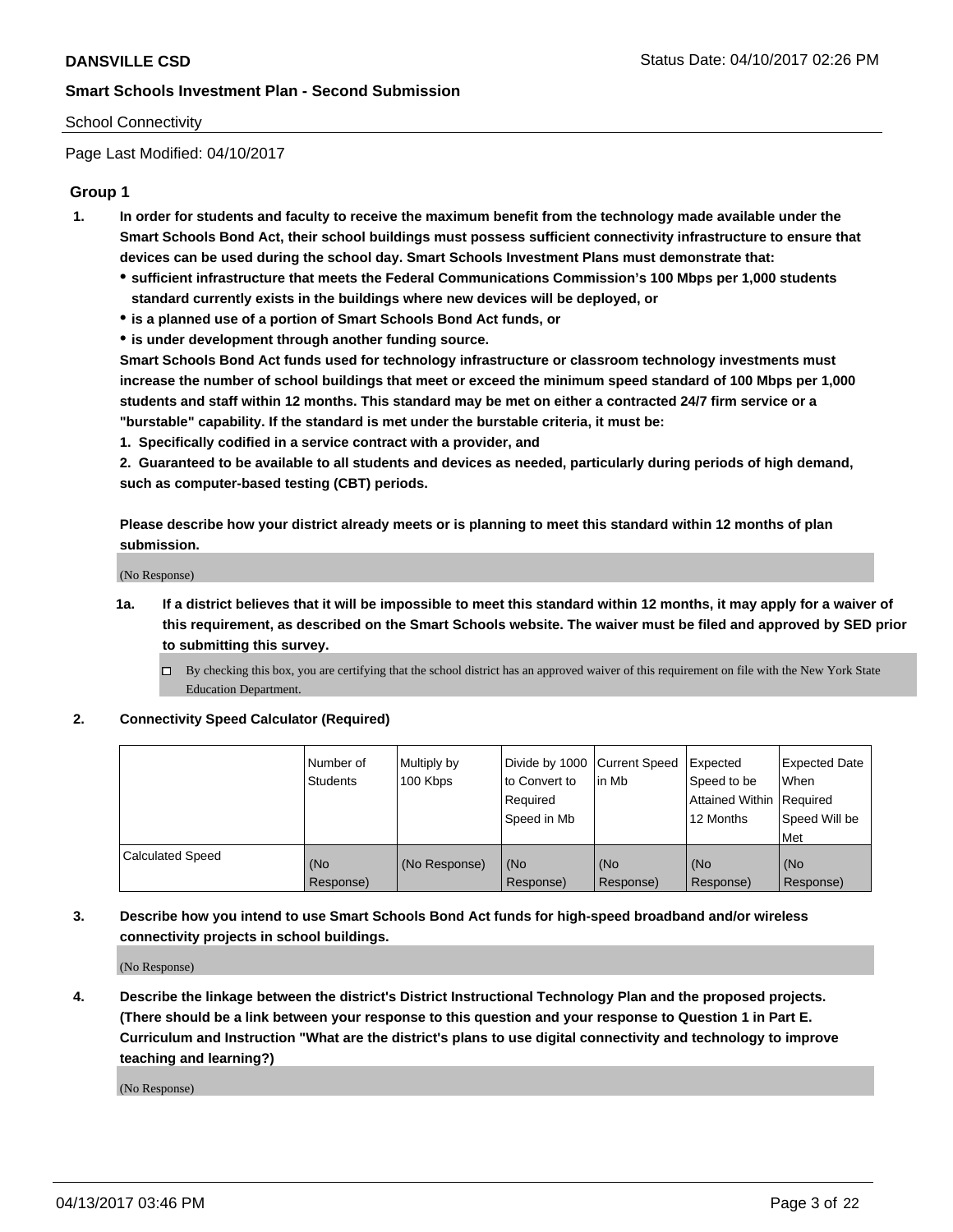### School Connectivity

Page Last Modified: 04/10/2017

## **Group 1**

- **1. In order for students and faculty to receive the maximum benefit from the technology made available under the Smart Schools Bond Act, their school buildings must possess sufficient connectivity infrastructure to ensure that devices can be used during the school day. Smart Schools Investment Plans must demonstrate that:**
	- **sufficient infrastructure that meets the Federal Communications Commission's 100 Mbps per 1,000 students standard currently exists in the buildings where new devices will be deployed, or**
	- **is a planned use of a portion of Smart Schools Bond Act funds, or**
	- **is under development through another funding source.**

**Smart Schools Bond Act funds used for technology infrastructure or classroom technology investments must increase the number of school buildings that meet or exceed the minimum speed standard of 100 Mbps per 1,000 students and staff within 12 months. This standard may be met on either a contracted 24/7 firm service or a "burstable" capability. If the standard is met under the burstable criteria, it must be:**

**1. Specifically codified in a service contract with a provider, and**

**2. Guaranteed to be available to all students and devices as needed, particularly during periods of high demand, such as computer-based testing (CBT) periods.**

**Please describe how your district already meets or is planning to meet this standard within 12 months of plan submission.**

(No Response)

- **1a. If a district believes that it will be impossible to meet this standard within 12 months, it may apply for a waiver of this requirement, as described on the Smart Schools website. The waiver must be filed and approved by SED prior to submitting this survey.**
	- By checking this box, you are certifying that the school district has an approved waiver of this requirement on file with the New York State Education Department.

#### **2. Connectivity Speed Calculator (Required)**

|                         | l Number of<br><b>Students</b> | Multiply by<br>100 Kbps | Divide by 1000 Current Speed<br>to Convert to<br>Required<br>l Speed in Mb | lin Mb           | Expected<br>Speed to be<br>Attained Within Required<br>12 Months | Expected Date<br>When<br>Speed Will be<br><b>Met</b> |
|-------------------------|--------------------------------|-------------------------|----------------------------------------------------------------------------|------------------|------------------------------------------------------------------|------------------------------------------------------|
| <b>Calculated Speed</b> | (No<br>Response)               | (No Response)           | (No<br>Response)                                                           | (No<br>Response) | (No<br>Response)                                                 | l (No<br>Response)                                   |

## **3. Describe how you intend to use Smart Schools Bond Act funds for high-speed broadband and/or wireless connectivity projects in school buildings.**

(No Response)

**4. Describe the linkage between the district's District Instructional Technology Plan and the proposed projects. (There should be a link between your response to this question and your response to Question 1 in Part E. Curriculum and Instruction "What are the district's plans to use digital connectivity and technology to improve teaching and learning?)**

(No Response)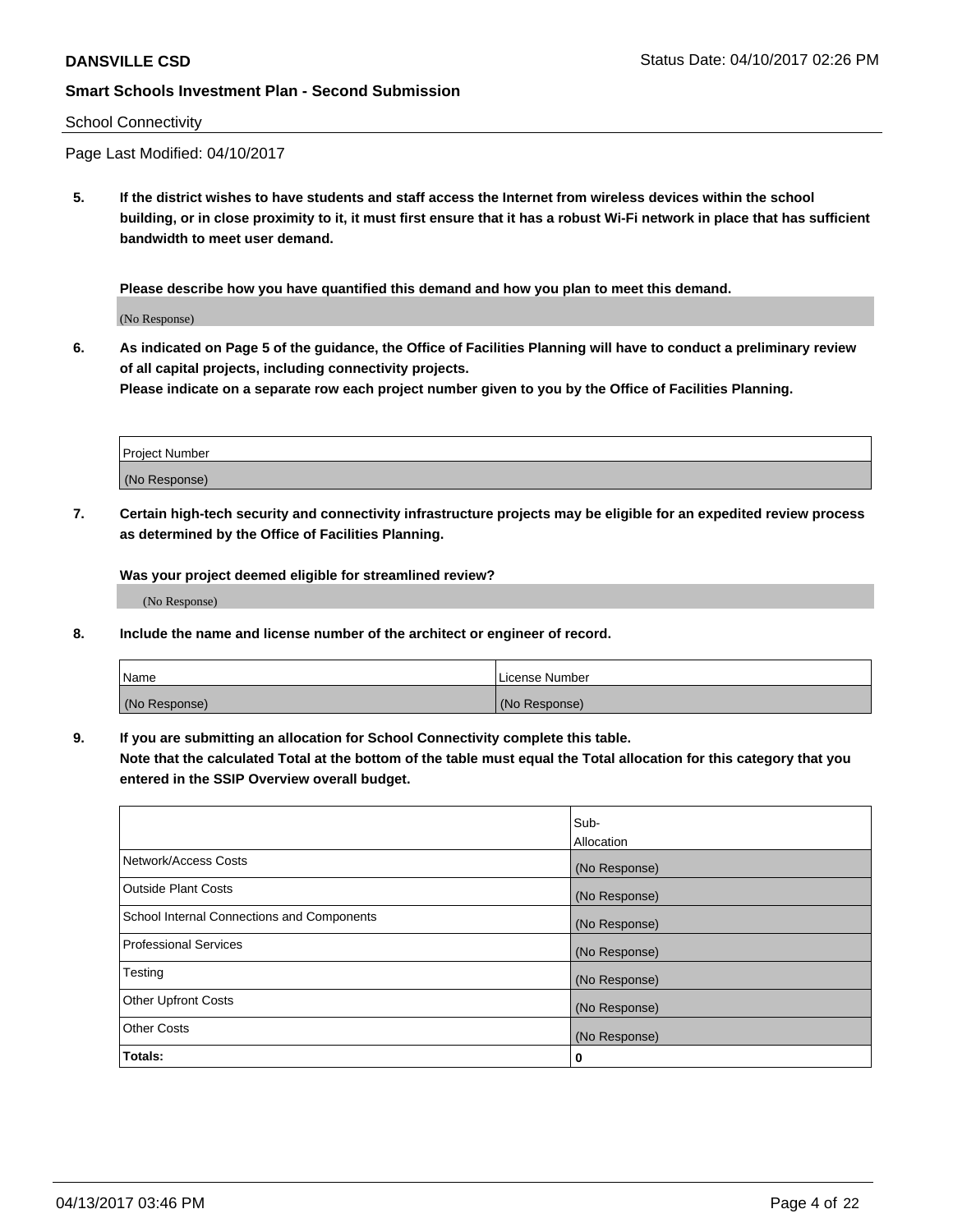#### School Connectivity

Page Last Modified: 04/10/2017

**5. If the district wishes to have students and staff access the Internet from wireless devices within the school building, or in close proximity to it, it must first ensure that it has a robust Wi-Fi network in place that has sufficient bandwidth to meet user demand.**

**Please describe how you have quantified this demand and how you plan to meet this demand.**

(No Response)

**6. As indicated on Page 5 of the guidance, the Office of Facilities Planning will have to conduct a preliminary review of all capital projects, including connectivity projects.**

**Please indicate on a separate row each project number given to you by the Office of Facilities Planning.**

| Project Number |  |
|----------------|--|
|                |  |
| (No Response)  |  |

**7. Certain high-tech security and connectivity infrastructure projects may be eligible for an expedited review process as determined by the Office of Facilities Planning.**

**Was your project deemed eligible for streamlined review?**

(No Response)

**8. Include the name and license number of the architect or engineer of record.**

| Name          | License Number |
|---------------|----------------|
| (No Response) | (No Response)  |

**9. If you are submitting an allocation for School Connectivity complete this table.**

**Note that the calculated Total at the bottom of the table must equal the Total allocation for this category that you entered in the SSIP Overview overall budget.** 

|                                            | Sub-              |
|--------------------------------------------|-------------------|
|                                            | <b>Allocation</b> |
| Network/Access Costs                       | (No Response)     |
| <b>Outside Plant Costs</b>                 | (No Response)     |
| School Internal Connections and Components | (No Response)     |
| Professional Services                      | (No Response)     |
| Testing                                    | (No Response)     |
| <b>Other Upfront Costs</b>                 | (No Response)     |
| <b>Other Costs</b>                         | (No Response)     |
| Totals:                                    | 0                 |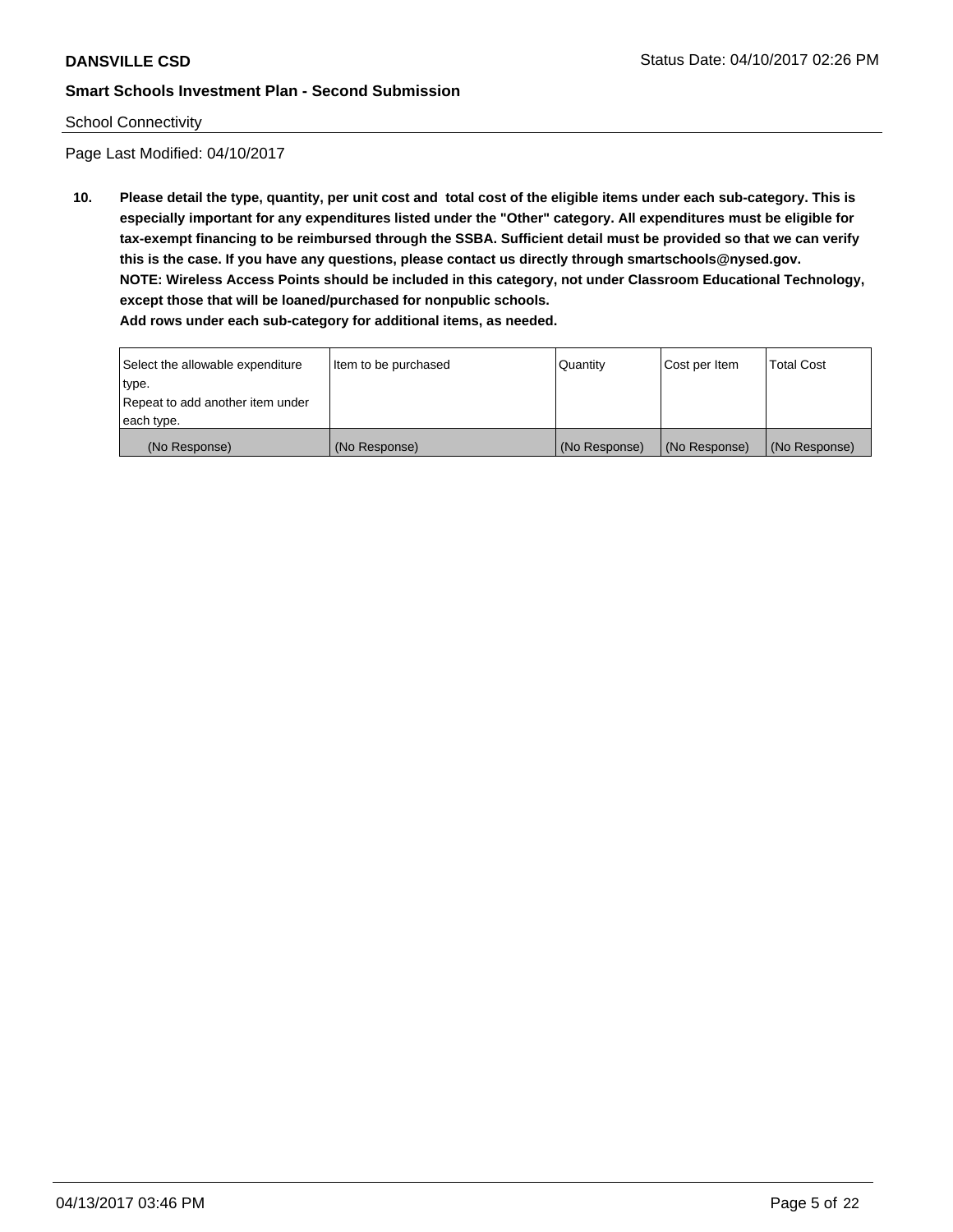#### School Connectivity

Page Last Modified: 04/10/2017

**10. Please detail the type, quantity, per unit cost and total cost of the eligible items under each sub-category. This is especially important for any expenditures listed under the "Other" category. All expenditures must be eligible for tax-exempt financing to be reimbursed through the SSBA. Sufficient detail must be provided so that we can verify this is the case. If you have any questions, please contact us directly through smartschools@nysed.gov. NOTE: Wireless Access Points should be included in this category, not under Classroom Educational Technology, except those that will be loaned/purchased for nonpublic schools.**

| Select the allowable expenditure | Item to be purchased | <b>Quantity</b> | Cost per Item | <b>Total Cost</b> |
|----------------------------------|----------------------|-----------------|---------------|-------------------|
| type.                            |                      |                 |               |                   |
| Repeat to add another item under |                      |                 |               |                   |
| each type.                       |                      |                 |               |                   |
| (No Response)                    | (No Response)        | (No Response)   | (No Response) | (No Response)     |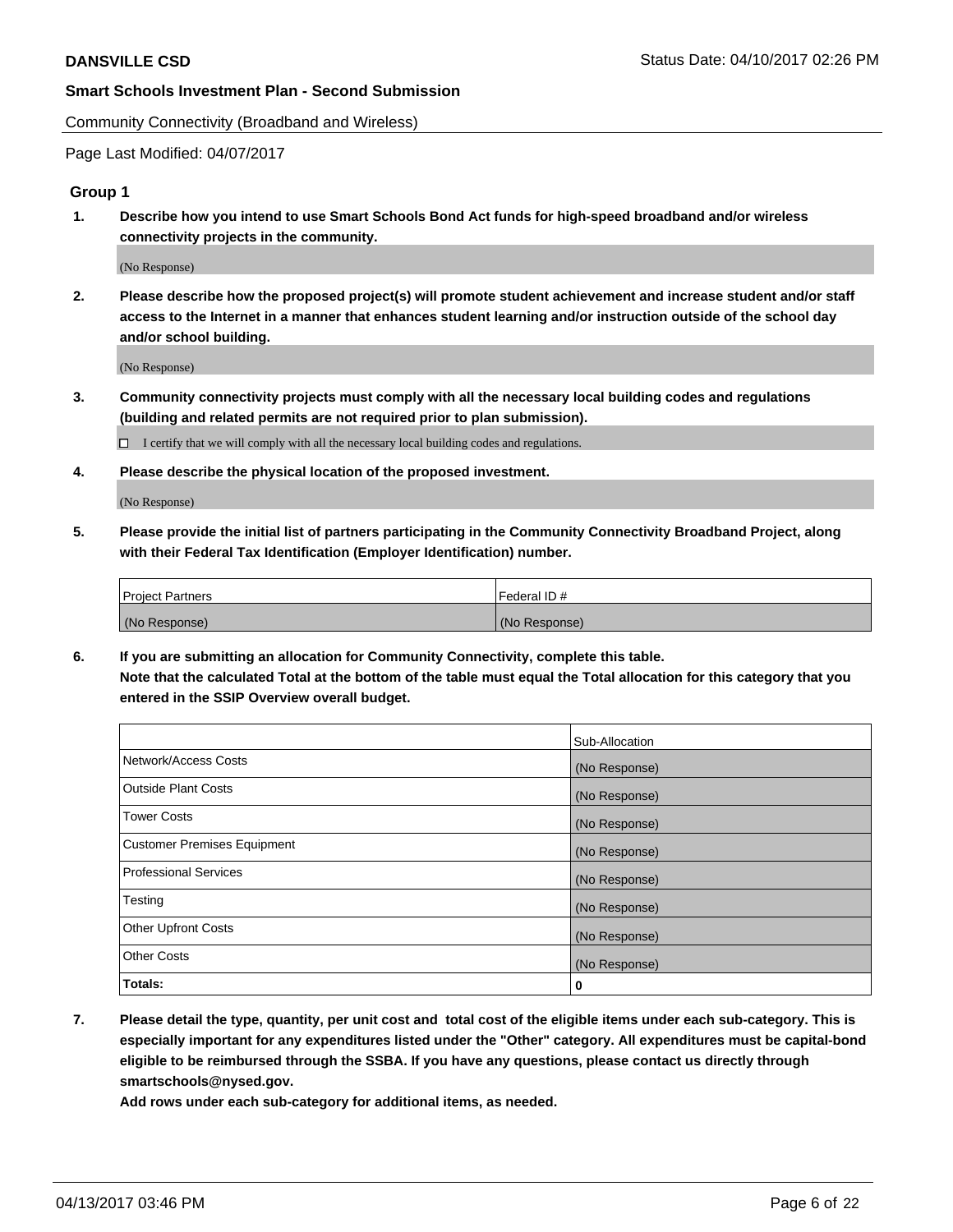Community Connectivity (Broadband and Wireless)

Page Last Modified: 04/07/2017

### **Group 1**

**1. Describe how you intend to use Smart Schools Bond Act funds for high-speed broadband and/or wireless connectivity projects in the community.**

(No Response)

**2. Please describe how the proposed project(s) will promote student achievement and increase student and/or staff access to the Internet in a manner that enhances student learning and/or instruction outside of the school day and/or school building.**

(No Response)

**3. Community connectivity projects must comply with all the necessary local building codes and regulations (building and related permits are not required prior to plan submission).**

 $\Box$  I certify that we will comply with all the necessary local building codes and regulations.

**4. Please describe the physical location of the proposed investment.**

(No Response)

**5. Please provide the initial list of partners participating in the Community Connectivity Broadband Project, along with their Federal Tax Identification (Employer Identification) number.**

| <b>Project Partners</b> | Federal ID#     |
|-------------------------|-----------------|
| (No Response)           | l (No Response) |

**6. If you are submitting an allocation for Community Connectivity, complete this table. Note that the calculated Total at the bottom of the table must equal the Total allocation for this category that you entered in the SSIP Overview overall budget.**

|                                    | Sub-Allocation |
|------------------------------------|----------------|
| Network/Access Costs               | (No Response)  |
| Outside Plant Costs                | (No Response)  |
| <b>Tower Costs</b>                 | (No Response)  |
| <b>Customer Premises Equipment</b> | (No Response)  |
| <b>Professional Services</b>       | (No Response)  |
| Testing                            | (No Response)  |
| <b>Other Upfront Costs</b>         | (No Response)  |
| <b>Other Costs</b>                 | (No Response)  |
| Totals:                            | 0              |

**7. Please detail the type, quantity, per unit cost and total cost of the eligible items under each sub-category. This is especially important for any expenditures listed under the "Other" category. All expenditures must be capital-bond eligible to be reimbursed through the SSBA. If you have any questions, please contact us directly through smartschools@nysed.gov.**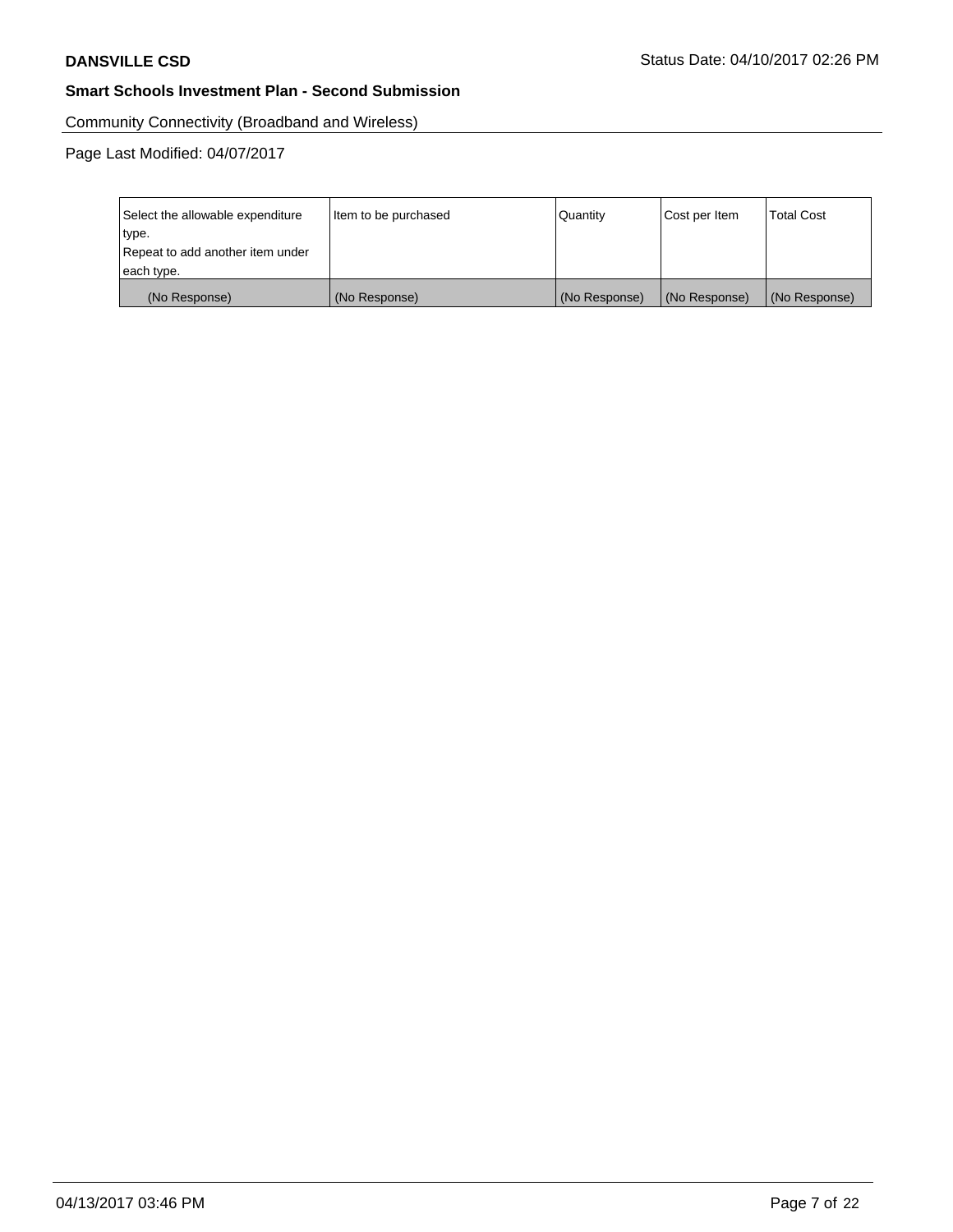Community Connectivity (Broadband and Wireless)

Page Last Modified: 04/07/2017

| Select the allowable expenditure<br>type.<br>Repeat to add another item under | Item to be purchased | Quantity      | Cost per Item | <b>Total Cost</b> |
|-------------------------------------------------------------------------------|----------------------|---------------|---------------|-------------------|
| each type.                                                                    |                      |               |               |                   |
| (No Response)                                                                 | (No Response)        | (No Response) | (No Response) | (No Response)     |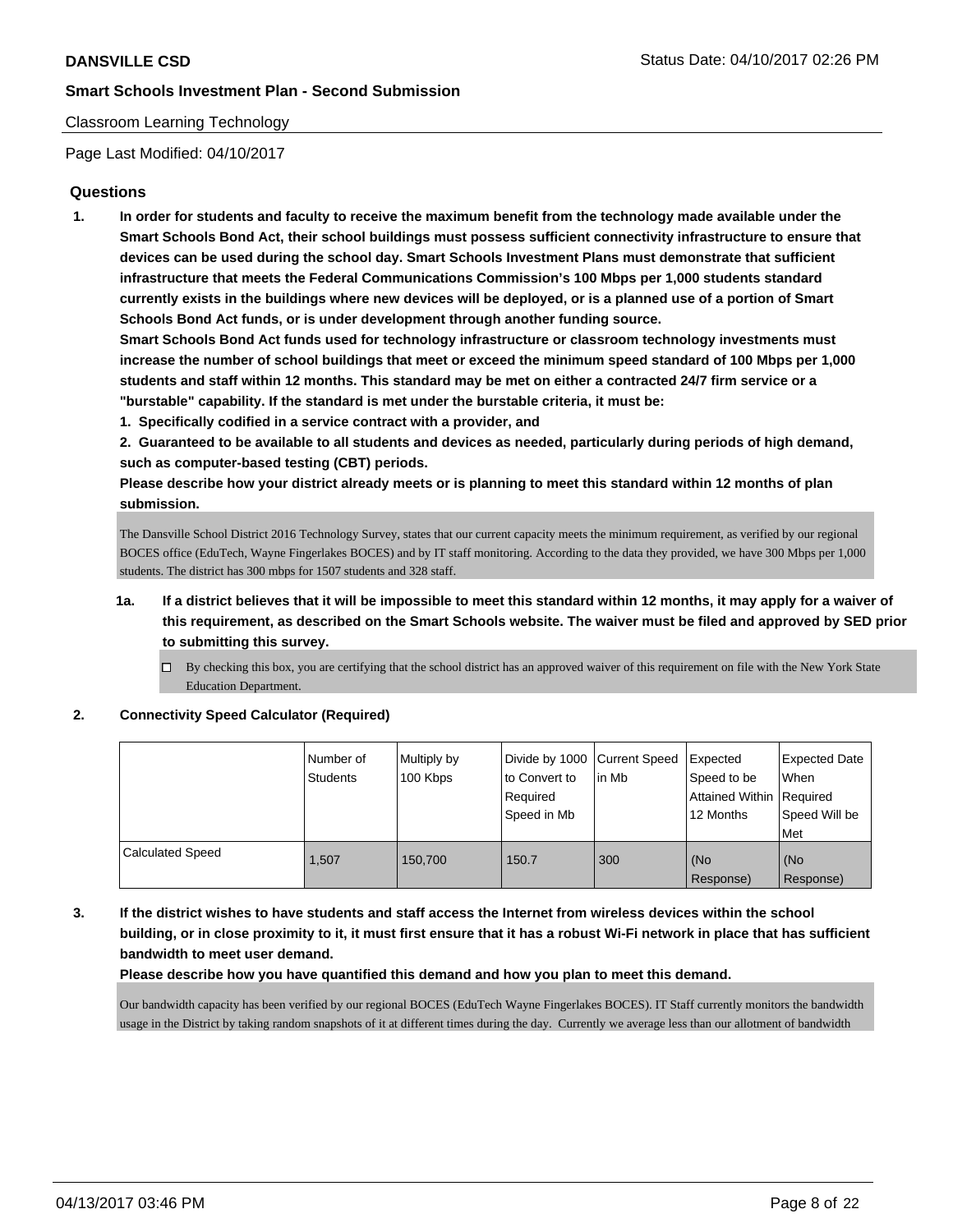### Classroom Learning Technology

Page Last Modified: 04/10/2017

## **Questions**

**1. In order for students and faculty to receive the maximum benefit from the technology made available under the Smart Schools Bond Act, their school buildings must possess sufficient connectivity infrastructure to ensure that devices can be used during the school day. Smart Schools Investment Plans must demonstrate that sufficient infrastructure that meets the Federal Communications Commission's 100 Mbps per 1,000 students standard currently exists in the buildings where new devices will be deployed, or is a planned use of a portion of Smart Schools Bond Act funds, or is under development through another funding source.**

**Smart Schools Bond Act funds used for technology infrastructure or classroom technology investments must increase the number of school buildings that meet or exceed the minimum speed standard of 100 Mbps per 1,000 students and staff within 12 months. This standard may be met on either a contracted 24/7 firm service or a "burstable" capability. If the standard is met under the burstable criteria, it must be:**

**1. Specifically codified in a service contract with a provider, and**

**2. Guaranteed to be available to all students and devices as needed, particularly during periods of high demand, such as computer-based testing (CBT) periods.**

**Please describe how your district already meets or is planning to meet this standard within 12 months of plan submission.**

The Dansville School District 2016 Technology Survey, states that our current capacity meets the minimum requirement, as verified by our regional BOCES office (EduTech, Wayne Fingerlakes BOCES) and by IT staff monitoring. According to the data they provided, we have 300 Mbps per 1,000 students. The district has 300 mbps for 1507 students and 328 staff.

- **1a. If a district believes that it will be impossible to meet this standard within 12 months, it may apply for a waiver of this requirement, as described on the Smart Schools website. The waiver must be filed and approved by SED prior to submitting this survey.**
	- $\Box$  By checking this box, you are certifying that the school district has an approved waiver of this requirement on file with the New York State Education Department.

**2. Connectivity Speed Calculator (Required)**

|                         | Number of<br><b>Students</b> | Multiply by<br>100 Kbps | Divide by 1000 Current Speed<br>to Convert to<br>Required<br>Speed in Mb | in Mb | Expected<br>Speed to be<br>Attained Within   Required<br>12 Months | <b>Expected Date</b><br><b>When</b><br>Speed Will be<br>Met |
|-------------------------|------------------------------|-------------------------|--------------------------------------------------------------------------|-------|--------------------------------------------------------------------|-------------------------------------------------------------|
| <b>Calculated Speed</b> | 1.507                        | 150.700                 | 150.7                                                                    | 300   | (No<br>Response)                                                   | (No<br>Response)                                            |

**3. If the district wishes to have students and staff access the Internet from wireless devices within the school building, or in close proximity to it, it must first ensure that it has a robust Wi-Fi network in place that has sufficient bandwidth to meet user demand.**

**Please describe how you have quantified this demand and how you plan to meet this demand.**

Our bandwidth capacity has been verified by our regional BOCES (EduTech Wayne Fingerlakes BOCES). IT Staff currently monitors the bandwidth usage in the District by taking random snapshots of it at different times during the day. Currently we average less than our allotment of bandwidth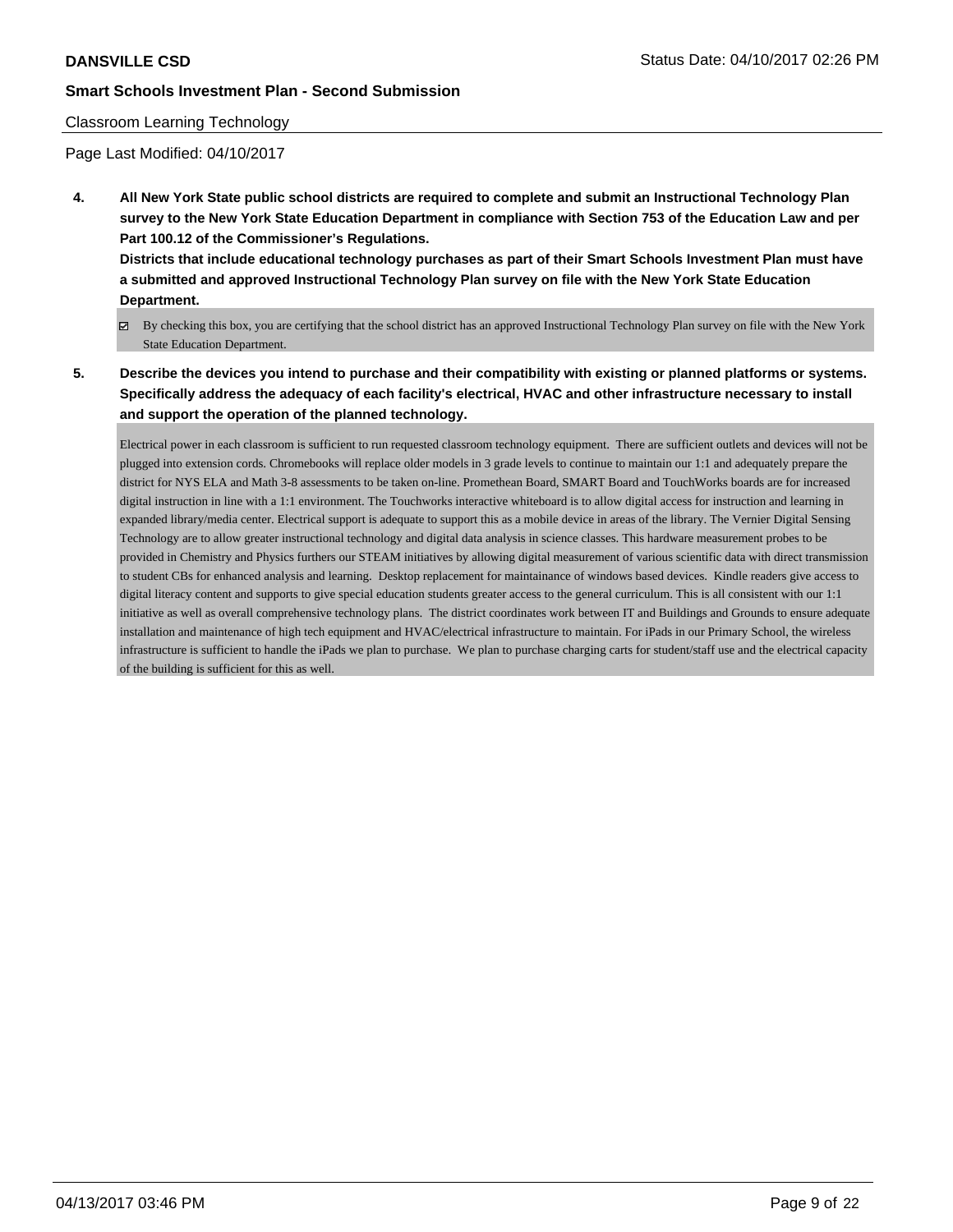#### Classroom Learning Technology

Page Last Modified: 04/10/2017

**4. All New York State public school districts are required to complete and submit an Instructional Technology Plan survey to the New York State Education Department in compliance with Section 753 of the Education Law and per Part 100.12 of the Commissioner's Regulations.**

**Districts that include educational technology purchases as part of their Smart Schools Investment Plan must have a submitted and approved Instructional Technology Plan survey on file with the New York State Education Department.**

- By checking this box, you are certifying that the school district has an approved Instructional Technology Plan survey on file with the New York State Education Department.
- **5. Describe the devices you intend to purchase and their compatibility with existing or planned platforms or systems. Specifically address the adequacy of each facility's electrical, HVAC and other infrastructure necessary to install and support the operation of the planned technology.**

Electrical power in each classroom is sufficient to run requested classroom technology equipment. There are sufficient outlets and devices will not be plugged into extension cords. Chromebooks will replace older models in 3 grade levels to continue to maintain our 1:1 and adequately prepare the district for NYS ELA and Math 3-8 assessments to be taken on-line. Promethean Board, SMART Board and TouchWorks boards are for increased digital instruction in line with a 1:1 environment. The Touchworks interactive whiteboard is to allow digital access for instruction and learning in expanded library/media center. Electrical support is adequate to support this as a mobile device in areas of the library. The Vernier Digital Sensing Technology are to allow greater instructional technology and digital data analysis in science classes. This hardware measurement probes to be provided in Chemistry and Physics furthers our STEAM initiatives by allowing digital measurement of various scientific data with direct transmission to student CBs for enhanced analysis and learning. Desktop replacement for maintainance of windows based devices. Kindle readers give access to digital literacy content and supports to give special education students greater access to the general curriculum. This is all consistent with our 1:1 initiative as well as overall comprehensive technology plans. The district coordinates work between IT and Buildings and Grounds to ensure adequate installation and maintenance of high tech equipment and HVAC/electrical infrastructure to maintain. For iPads in our Primary School, the wireless infrastructure is sufficient to handle the iPads we plan to purchase. We plan to purchase charging carts for student/staff use and the electrical capacity of the building is sufficient for this as well.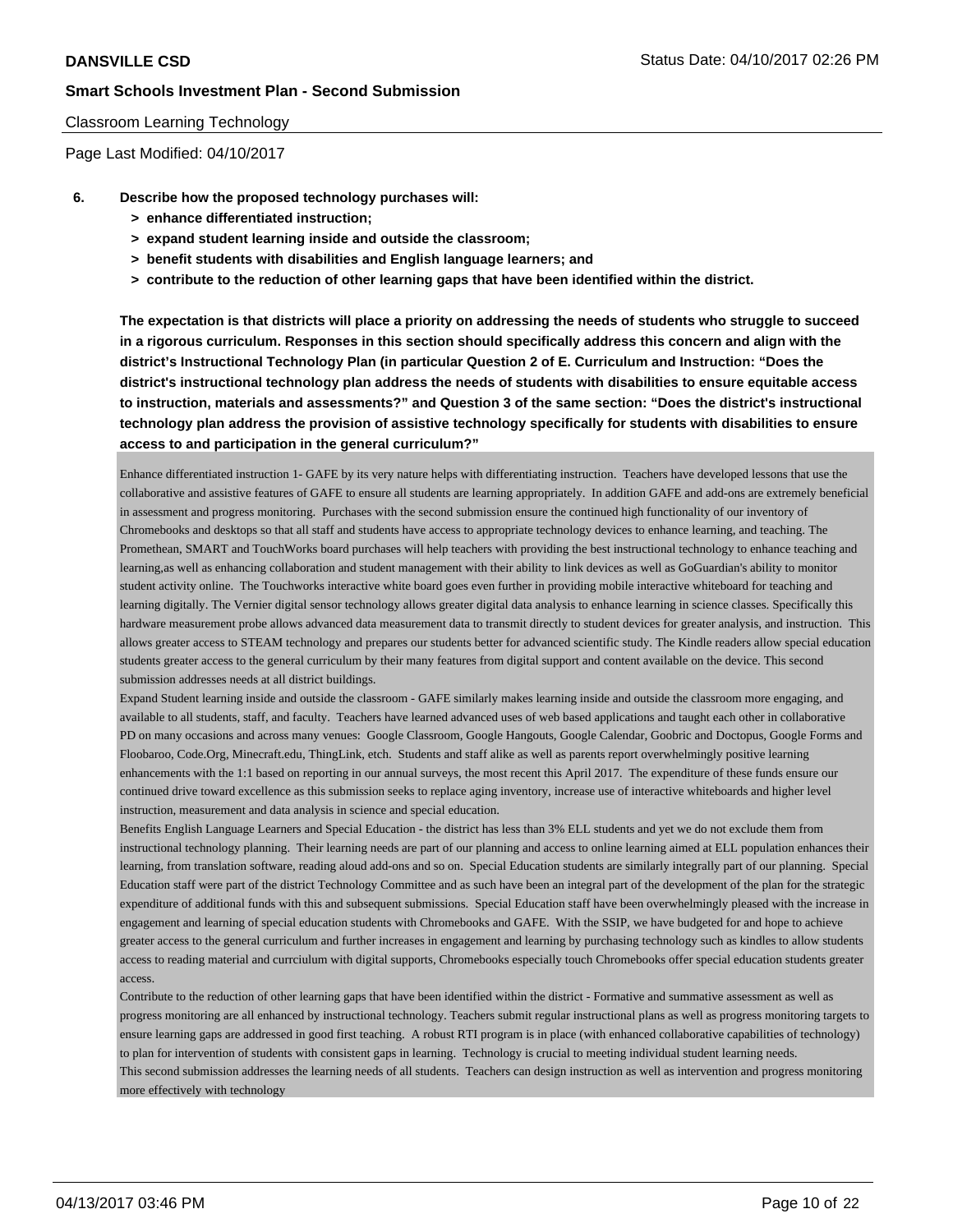#### Classroom Learning Technology

Page Last Modified: 04/10/2017

- **6. Describe how the proposed technology purchases will:**
	- **> enhance differentiated instruction;**
	- **> expand student learning inside and outside the classroom;**
	- **> benefit students with disabilities and English language learners; and**
	- **> contribute to the reduction of other learning gaps that have been identified within the district.**

**The expectation is that districts will place a priority on addressing the needs of students who struggle to succeed in a rigorous curriculum. Responses in this section should specifically address this concern and align with the district's Instructional Technology Plan (in particular Question 2 of E. Curriculum and Instruction: "Does the district's instructional technology plan address the needs of students with disabilities to ensure equitable access to instruction, materials and assessments?" and Question 3 of the same section: "Does the district's instructional technology plan address the provision of assistive technology specifically for students with disabilities to ensure access to and participation in the general curriculum?"**

Enhance differentiated instruction 1- GAFE by its very nature helps with differentiating instruction. Teachers have developed lessons that use the collaborative and assistive features of GAFE to ensure all students are learning appropriately. In addition GAFE and add-ons are extremely beneficial in assessment and progress monitoring. Purchases with the second submission ensure the continued high functionality of our inventory of Chromebooks and desktops so that all staff and students have access to appropriate technology devices to enhance learning, and teaching. The Promethean, SMART and TouchWorks board purchases will help teachers with providing the best instructional technology to enhance teaching and learning,as well as enhancing collaboration and student management with their ability to link devices as well as GoGuardian's ability to monitor student activity online. The Touchworks interactive white board goes even further in providing mobile interactive whiteboard for teaching and learning digitally. The Vernier digital sensor technology allows greater digital data analysis to enhance learning in science classes. Specifically this hardware measurement probe allows advanced data measurement data to transmit directly to student devices for greater analysis, and instruction. This allows greater access to STEAM technology and prepares our students better for advanced scientific study. The Kindle readers allow special education students greater access to the general curriculum by their many features from digital support and content available on the device. This second submission addresses needs at all district buildings.

Expand Student learning inside and outside the classroom - GAFE similarly makes learning inside and outside the classroom more engaging, and available to all students, staff, and faculty. Teachers have learned advanced uses of web based applications and taught each other in collaborative PD on many occasions and across many venues: Google Classroom, Google Hangouts, Google Calendar, Goobric and Doctopus, Google Forms and Floobaroo, Code.Org, Minecraft.edu, ThingLink, etch. Students and staff alike as well as parents report overwhelmingly positive learning enhancements with the 1:1 based on reporting in our annual surveys, the most recent this April 2017. The expenditure of these funds ensure our continued drive toward excellence as this submission seeks to replace aging inventory, increase use of interactive whiteboards and higher level instruction, measurement and data analysis in science and special education.

Benefits English Language Learners and Special Education - the district has less than 3% ELL students and yet we do not exclude them from instructional technology planning. Their learning needs are part of our planning and access to online learning aimed at ELL population enhances their learning, from translation software, reading aloud add-ons and so on. Special Education students are similarly integrally part of our planning. Special Education staff were part of the district Technology Committee and as such have been an integral part of the development of the plan for the strategic expenditure of additional funds with this and subsequent submissions. Special Education staff have been overwhelmingly pleased with the increase in engagement and learning of special education students with Chromebooks and GAFE. With the SSIP, we have budgeted for and hope to achieve greater access to the general curriculum and further increases in engagement and learning by purchasing technology such as kindles to allow students access to reading material and currciulum with digital supports, Chromebooks especially touch Chromebooks offer special education students greater access.

Contribute to the reduction of other learning gaps that have been identified within the district - Formative and summative assessment as well as progress monitoring are all enhanced by instructional technology. Teachers submit regular instructional plans as well as progress monitoring targets to ensure learning gaps are addressed in good first teaching. A robust RTI program is in place (with enhanced collaborative capabilities of technology) to plan for intervention of students with consistent gaps in learning. Technology is crucial to meeting individual student learning needs. This second submission addresses the learning needs of all students. Teachers can design instruction as well as intervention and progress monitoring more effectively with technology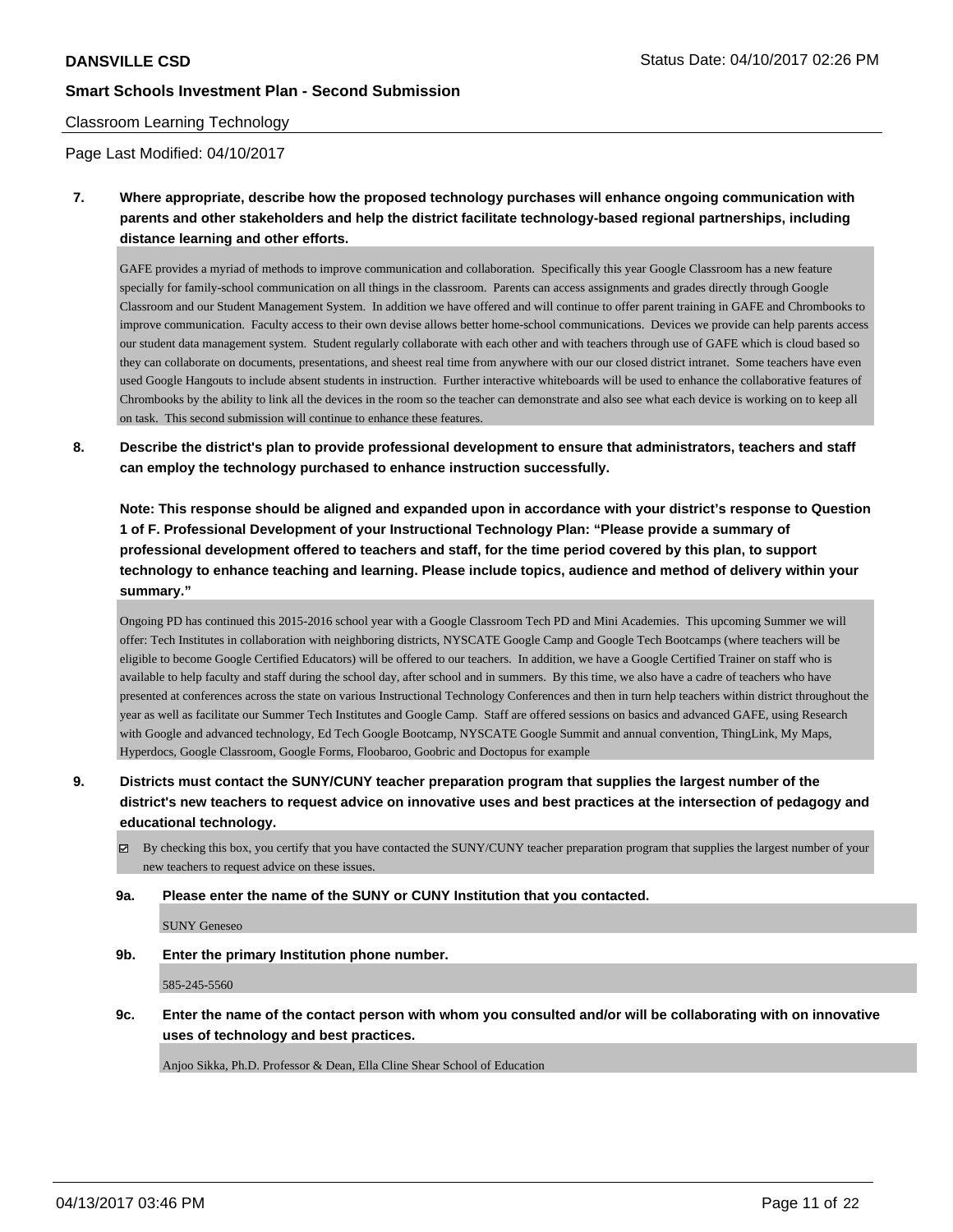#### Classroom Learning Technology

Page Last Modified: 04/10/2017

**7. Where appropriate, describe how the proposed technology purchases will enhance ongoing communication with parents and other stakeholders and help the district facilitate technology-based regional partnerships, including distance learning and other efforts.**

GAFE provides a myriad of methods to improve communication and collaboration. Specifically this year Google Classroom has a new feature specially for family-school communication on all things in the classroom. Parents can access assignments and grades directly through Google Classroom and our Student Management System. In addition we have offered and will continue to offer parent training in GAFE and Chrombooks to improve communication. Faculty access to their own devise allows better home-school communications. Devices we provide can help parents access our student data management system. Student regularly collaborate with each other and with teachers through use of GAFE which is cloud based so they can collaborate on documents, presentations, and sheest real time from anywhere with our our closed district intranet. Some teachers have even used Google Hangouts to include absent students in instruction. Further interactive whiteboards will be used to enhance the collaborative features of Chrombooks by the ability to link all the devices in the room so the teacher can demonstrate and also see what each device is working on to keep all on task. This second submission will continue to enhance these features.

**8. Describe the district's plan to provide professional development to ensure that administrators, teachers and staff can employ the technology purchased to enhance instruction successfully.**

**Note: This response should be aligned and expanded upon in accordance with your district's response to Question 1 of F. Professional Development of your Instructional Technology Plan: "Please provide a summary of professional development offered to teachers and staff, for the time period covered by this plan, to support technology to enhance teaching and learning. Please include topics, audience and method of delivery within your summary."**

Ongoing PD has continued this 2015-2016 school year with a Google Classroom Tech PD and Mini Academies. This upcoming Summer we will offer: Tech Institutes in collaboration with neighboring districts, NYSCATE Google Camp and Google Tech Bootcamps (where teachers will be eligible to become Google Certified Educators) will be offered to our teachers. In addition, we have a Google Certified Trainer on staff who is available to help faculty and staff during the school day, after school and in summers. By this time, we also have a cadre of teachers who have presented at conferences across the state on various Instructional Technology Conferences and then in turn help teachers within district throughout the year as well as facilitate our Summer Tech Institutes and Google Camp. Staff are offered sessions on basics and advanced GAFE, using Research with Google and advanced technology, Ed Tech Google Bootcamp, NYSCATE Google Summit and annual convention, ThingLink, My Maps, Hyperdocs, Google Classroom, Google Forms, Floobaroo, Goobric and Doctopus for example

- **9. Districts must contact the SUNY/CUNY teacher preparation program that supplies the largest number of the district's new teachers to request advice on innovative uses and best practices at the intersection of pedagogy and educational technology.**
	- $\boxtimes$  By checking this box, you certify that you have contacted the SUNY/CUNY teacher preparation program that supplies the largest number of your new teachers to request advice on these issues.
	- **9a. Please enter the name of the SUNY or CUNY Institution that you contacted.**

SUNY Geneseo

**9b. Enter the primary Institution phone number.**

585-245-5560

**9c. Enter the name of the contact person with whom you consulted and/or will be collaborating with on innovative uses of technology and best practices.**

Anjoo Sikka, Ph.D. Professor & Dean, Ella Cline Shear School of Education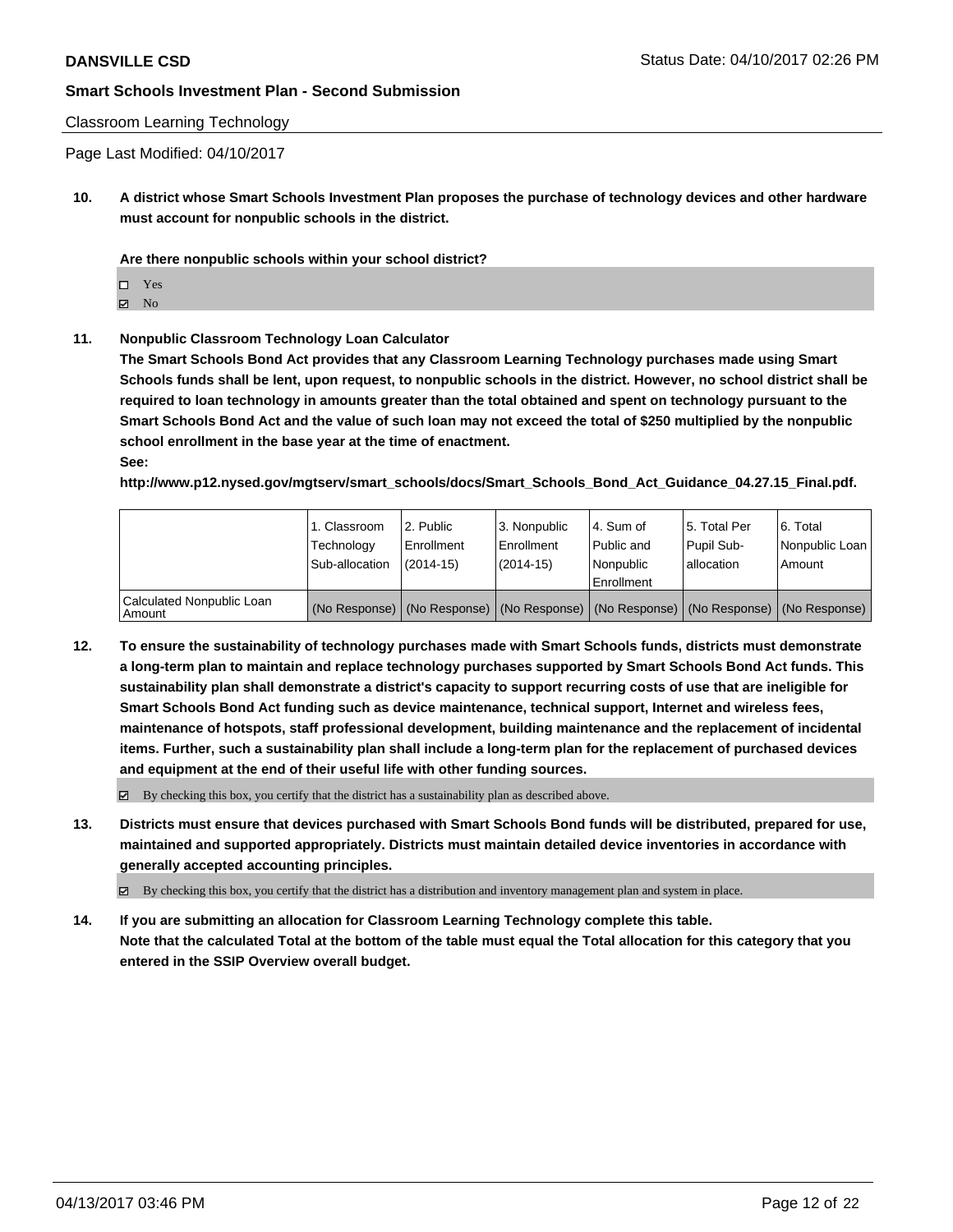#### Classroom Learning Technology

Page Last Modified: 04/10/2017

**10. A district whose Smart Schools Investment Plan proposes the purchase of technology devices and other hardware must account for nonpublic schools in the district.**

**Are there nonpublic schools within your school district?**

Yes

 $\boxtimes$  No

**11. Nonpublic Classroom Technology Loan Calculator**

**The Smart Schools Bond Act provides that any Classroom Learning Technology purchases made using Smart Schools funds shall be lent, upon request, to nonpublic schools in the district. However, no school district shall be required to loan technology in amounts greater than the total obtained and spent on technology pursuant to the Smart Schools Bond Act and the value of such loan may not exceed the total of \$250 multiplied by the nonpublic school enrollment in the base year at the time of enactment. See:**

**http://www.p12.nysed.gov/mgtserv/smart\_schools/docs/Smart\_Schools\_Bond\_Act\_Guidance\_04.27.15\_Final.pdf.**

|                                       | 1. Classroom<br>Technology<br>Sub-allocation | l 2. Public<br>Enrollment<br>$(2014-15)$ | 3. Nonpublic<br>l Enrollment<br>$(2014-15)$ | l 4. Sum of<br>Public and<br>Nonpublic<br>Enrollment                                          | 15. Total Per<br>Pupil Sub-<br>lallocation | l 6. Total<br>Nonpublic Loan<br>Amount |
|---------------------------------------|----------------------------------------------|------------------------------------------|---------------------------------------------|-----------------------------------------------------------------------------------------------|--------------------------------------------|----------------------------------------|
| Calculated Nonpublic Loan<br>l Amount |                                              |                                          |                                             | (No Response)   (No Response)   (No Response)   (No Response)   (No Response)   (No Response) |                                            |                                        |

**12. To ensure the sustainability of technology purchases made with Smart Schools funds, districts must demonstrate a long-term plan to maintain and replace technology purchases supported by Smart Schools Bond Act funds. This sustainability plan shall demonstrate a district's capacity to support recurring costs of use that are ineligible for Smart Schools Bond Act funding such as device maintenance, technical support, Internet and wireless fees, maintenance of hotspots, staff professional development, building maintenance and the replacement of incidental items. Further, such a sustainability plan shall include a long-term plan for the replacement of purchased devices and equipment at the end of their useful life with other funding sources.**

 $\boxtimes$  By checking this box, you certify that the district has a sustainability plan as described above.

**13. Districts must ensure that devices purchased with Smart Schools Bond funds will be distributed, prepared for use, maintained and supported appropriately. Districts must maintain detailed device inventories in accordance with generally accepted accounting principles.**

By checking this box, you certify that the district has a distribution and inventory management plan and system in place.

**14. If you are submitting an allocation for Classroom Learning Technology complete this table. Note that the calculated Total at the bottom of the table must equal the Total allocation for this category that you entered in the SSIP Overview overall budget.**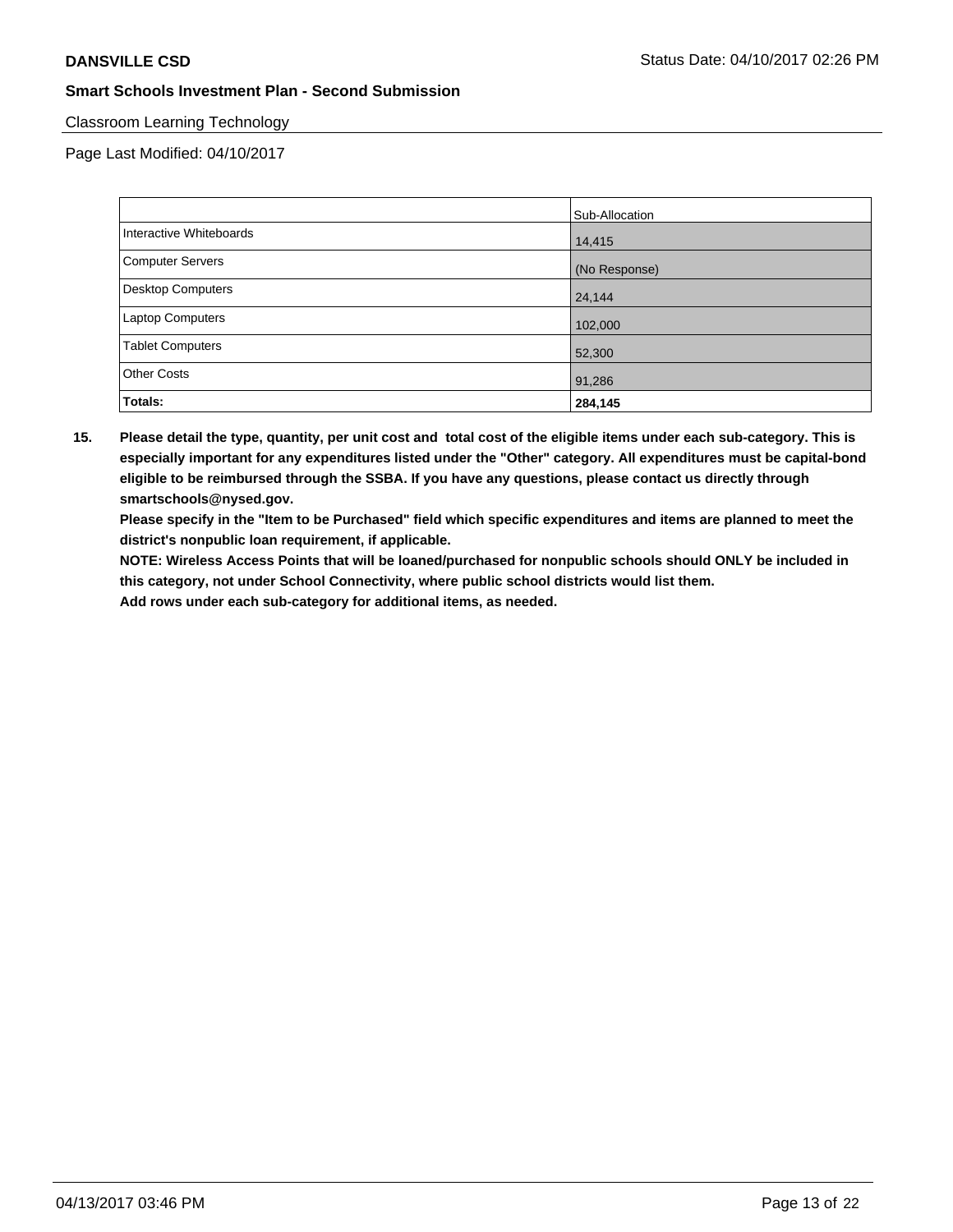## Classroom Learning Technology

Page Last Modified: 04/10/2017

|                         | Sub-Allocation |
|-------------------------|----------------|
| Interactive Whiteboards | 14,415         |
| Computer Servers        | (No Response)  |
| Desktop Computers       | 24,144         |
| <b>Laptop Computers</b> | 102,000        |
| <b>Tablet Computers</b> | 52,300         |
| <b>Other Costs</b>      | 91,286         |
| Totals:                 | 284,145        |

**15. Please detail the type, quantity, per unit cost and total cost of the eligible items under each sub-category. This is especially important for any expenditures listed under the "Other" category. All expenditures must be capital-bond eligible to be reimbursed through the SSBA. If you have any questions, please contact us directly through smartschools@nysed.gov.**

**Please specify in the "Item to be Purchased" field which specific expenditures and items are planned to meet the district's nonpublic loan requirement, if applicable.**

**NOTE: Wireless Access Points that will be loaned/purchased for nonpublic schools should ONLY be included in this category, not under School Connectivity, where public school districts would list them.**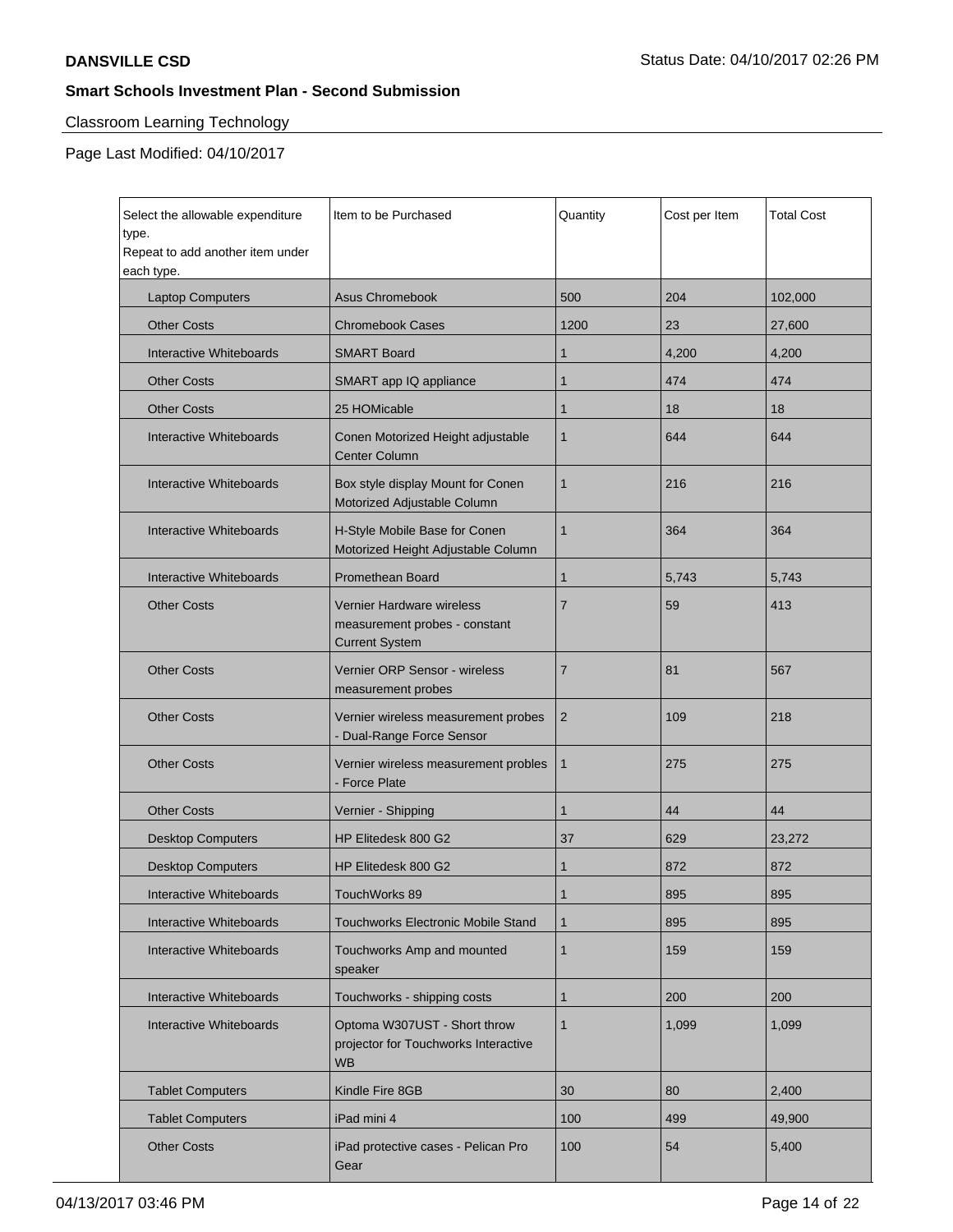# Classroom Learning Technology

Page Last Modified: 04/10/2017

| Select the allowable expenditure<br>type.<br>Repeat to add another item under<br>each type. | Item to be Purchased                                                                       | Quantity       | Cost per Item | <b>Total Cost</b> |
|---------------------------------------------------------------------------------------------|--------------------------------------------------------------------------------------------|----------------|---------------|-------------------|
| <b>Laptop Computers</b>                                                                     | <b>Asus Chromebook</b>                                                                     | 500            | 204           | 102,000           |
| <b>Other Costs</b>                                                                          | <b>Chromebook Cases</b>                                                                    | 1200           | 23            | 27,600            |
| Interactive Whiteboards                                                                     | <b>SMART Board</b>                                                                         | 1              | 4,200         | 4,200             |
| <b>Other Costs</b>                                                                          | SMART app IQ appliance                                                                     | 1              | 474           | 474               |
| <b>Other Costs</b>                                                                          | 25 HOMicable                                                                               | 1              | 18            | 18                |
| Interactive Whiteboards                                                                     | Conen Motorized Height adjustable<br><b>Center Column</b>                                  | 1              | 644           | 644               |
| Interactive Whiteboards                                                                     | Box style display Mount for Conen<br>Motorized Adjustable Column                           | 1              | 216           | 216               |
| Interactive Whiteboards                                                                     | H-Style Mobile Base for Conen<br>Motorized Height Adjustable Column                        | 1              | 364           | 364               |
| Interactive Whiteboards                                                                     | <b>Promethean Board</b>                                                                    | 1              | 5,743         | 5,743             |
| <b>Other Costs</b>                                                                          | <b>Vernier Hardware wireless</b><br>measurement probes - constant<br><b>Current System</b> | $\overline{7}$ | 59            | 413               |
| <b>Other Costs</b>                                                                          | Vernier ORP Sensor - wireless<br>measurement probes                                        | $\overline{7}$ | 81            | 567               |
| <b>Other Costs</b>                                                                          | Vernier wireless measurement probes<br>- Dual-Range Force Sensor                           | $\overline{2}$ | 109           | 218               |
| <b>Other Costs</b>                                                                          | Vernier wireless measurement probles<br>- Force Plate                                      | 1              | 275           | 275               |
| <b>Other Costs</b>                                                                          | Vernier - Shipping                                                                         | 1              | 44            | 44                |
| <b>Desktop Computers</b>                                                                    | HP Elitedesk 800 G2                                                                        | 37             | 629           | 23,272            |
| <b>Desktop Computers</b>                                                                    | HP Elitedesk 800 G2                                                                        | 1              | 872           | 872               |
| Interactive Whiteboards                                                                     | TouchWorks 89                                                                              | 1              | 895           | 895               |
| Interactive Whiteboards                                                                     | Touchworks Electronic Mobile Stand                                                         | $\mathbf{1}$   | 895           | 895               |
| Interactive Whiteboards                                                                     | Touchworks Amp and mounted<br>speaker                                                      | $\mathbf{1}$   | 159           | 159               |
| Interactive Whiteboards                                                                     | Touchworks - shipping costs                                                                | $\mathbf{1}$   | 200           | 200               |
| Interactive Whiteboards                                                                     | Optoma W307UST - Short throw<br>projector for Touchworks Interactive<br>WB                 | 1              | 1,099         | 1,099             |
| <b>Tablet Computers</b>                                                                     | Kindle Fire 8GB                                                                            | 30             | 80            | 2,400             |
| <b>Tablet Computers</b>                                                                     | iPad mini 4                                                                                | 100            | 499           | 49,900            |
| <b>Other Costs</b>                                                                          | iPad protective cases - Pelican Pro<br>Gear                                                | 100            | 54            | 5,400             |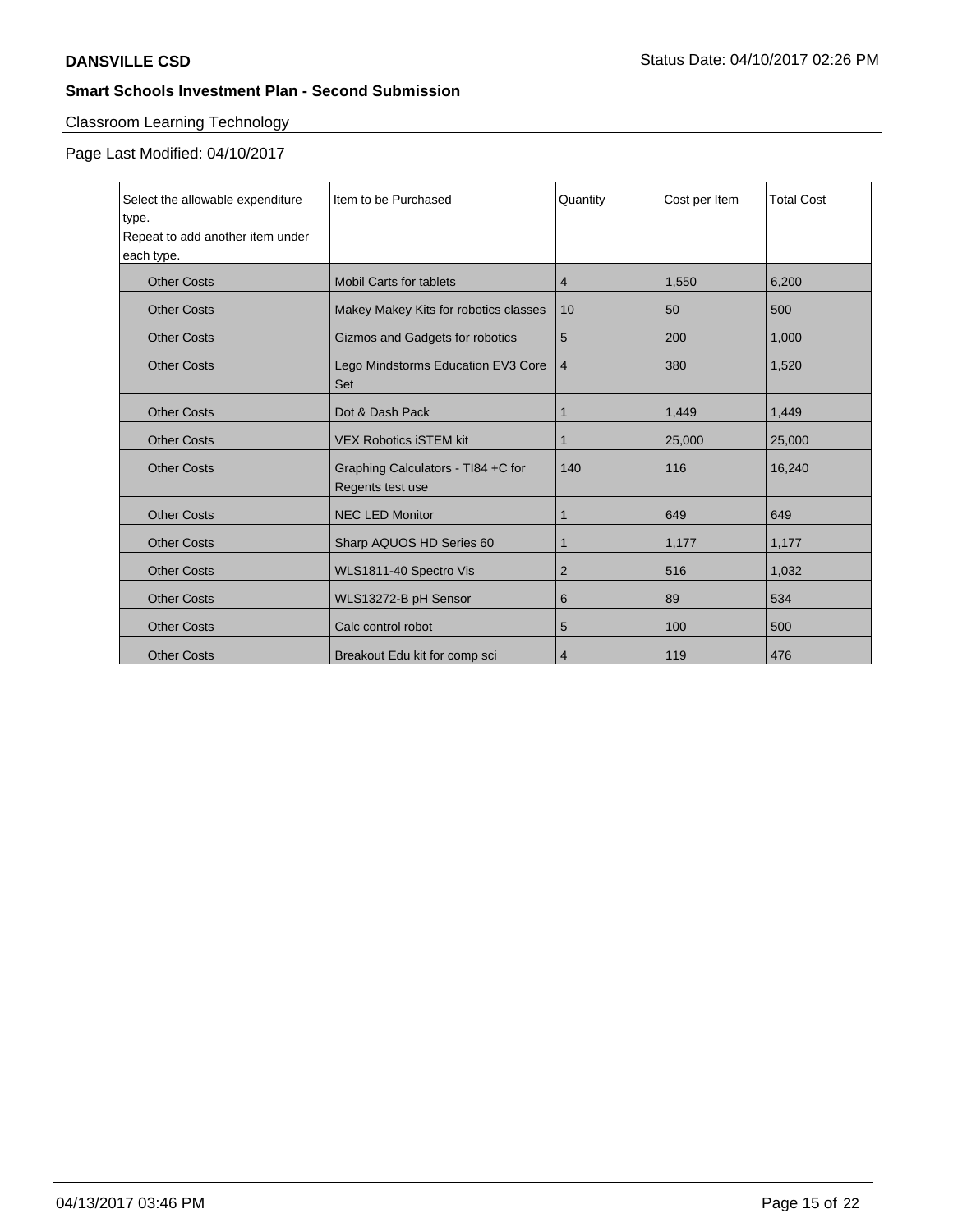# Classroom Learning Technology

Page Last Modified: 04/10/2017

| Select the allowable expenditure<br>type.<br>Repeat to add another item under<br>each type. | Item to be Purchased                                   | Quantity       | Cost per Item | <b>Total Cost</b> |
|---------------------------------------------------------------------------------------------|--------------------------------------------------------|----------------|---------------|-------------------|
| <b>Other Costs</b>                                                                          | <b>Mobil Carts for tablets</b>                         | 4              | 1,550         | 6,200             |
| <b>Other Costs</b>                                                                          | Makey Makey Kits for robotics classes                  | 10             | 50            | 500               |
| <b>Other Costs</b>                                                                          | Gizmos and Gadgets for robotics                        | 5              | 200           | 1,000             |
| <b>Other Costs</b>                                                                          | Lego Mindstorms Education EV3 Core<br>Set              | $\overline{4}$ | 380           | 1,520             |
| <b>Other Costs</b>                                                                          | Dot & Dash Pack                                        | 1              | 1,449         | 1,449             |
| <b>Other Costs</b>                                                                          | <b>VEX Robotics ISTEM kit</b>                          | 1              | 25,000        | 25,000            |
| <b>Other Costs</b>                                                                          | Graphing Calculators - TI84 +C for<br>Regents test use | 140            | 116           | 16,240            |
| <b>Other Costs</b>                                                                          | <b>NEC LED Monitor</b>                                 | 1              | 649           | 649               |
| <b>Other Costs</b>                                                                          | Sharp AQUOS HD Series 60                               | 1              | 1,177         | 1,177             |
| <b>Other Costs</b>                                                                          | WLS1811-40 Spectro Vis                                 | $\overline{c}$ | 516           | 1,032             |
| <b>Other Costs</b>                                                                          | WLS13272-B pH Sensor                                   | 6              | 89            | 534               |
| <b>Other Costs</b>                                                                          | Calc control robot                                     | 5              | 100           | 500               |
| <b>Other Costs</b>                                                                          | Breakout Edu kit for comp sci                          | 4              | 119           | 476               |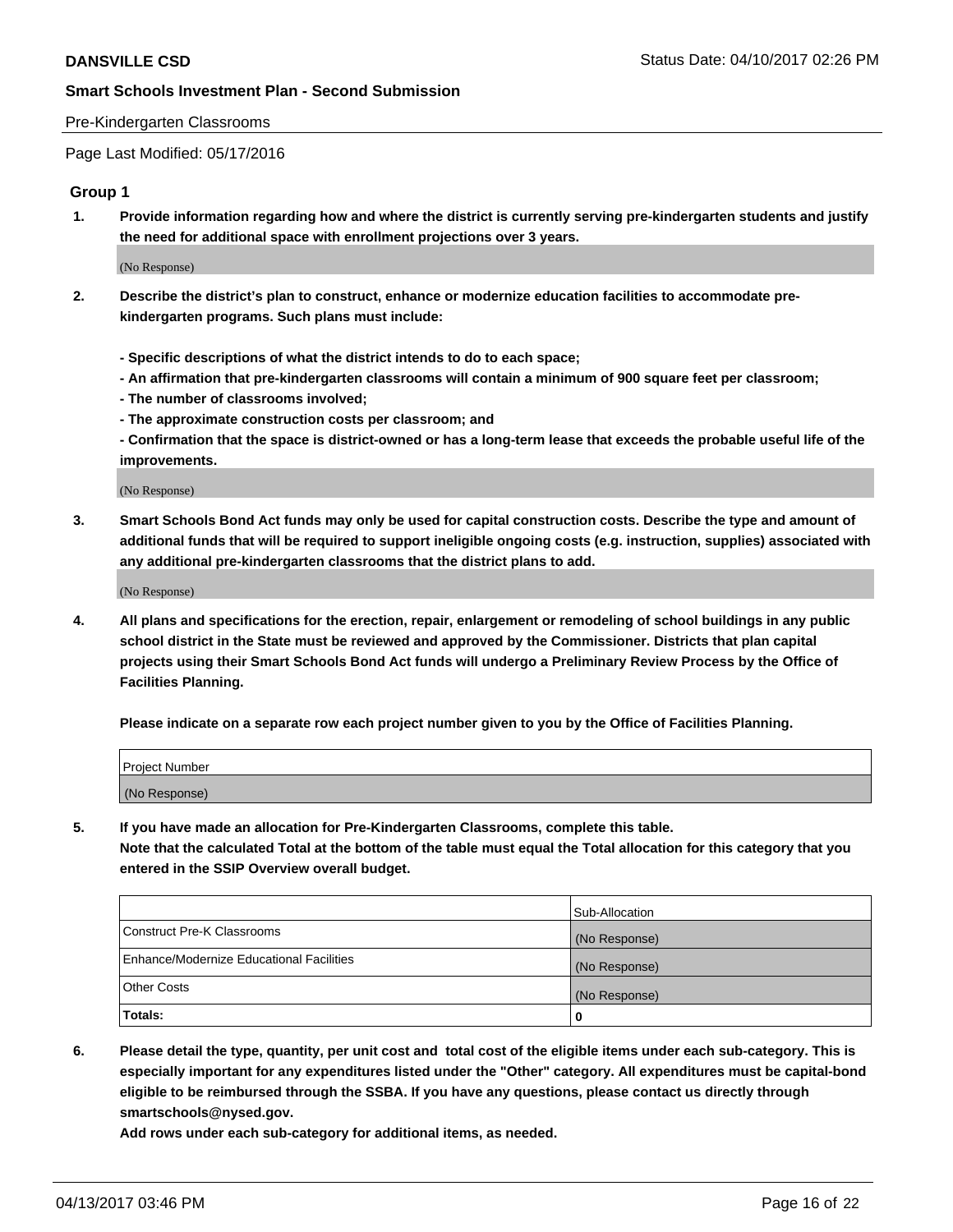#### Pre-Kindergarten Classrooms

Page Last Modified: 05/17/2016

#### **Group 1**

**1. Provide information regarding how and where the district is currently serving pre-kindergarten students and justify the need for additional space with enrollment projections over 3 years.**

(No Response)

- **2. Describe the district's plan to construct, enhance or modernize education facilities to accommodate prekindergarten programs. Such plans must include:**
	- **Specific descriptions of what the district intends to do to each space;**
	- **An affirmation that pre-kindergarten classrooms will contain a minimum of 900 square feet per classroom;**
	- **The number of classrooms involved;**
	- **The approximate construction costs per classroom; and**
	- **Confirmation that the space is district-owned or has a long-term lease that exceeds the probable useful life of the improvements.**

(No Response)

**3. Smart Schools Bond Act funds may only be used for capital construction costs. Describe the type and amount of additional funds that will be required to support ineligible ongoing costs (e.g. instruction, supplies) associated with any additional pre-kindergarten classrooms that the district plans to add.**

(No Response)

**4. All plans and specifications for the erection, repair, enlargement or remodeling of school buildings in any public school district in the State must be reviewed and approved by the Commissioner. Districts that plan capital projects using their Smart Schools Bond Act funds will undergo a Preliminary Review Process by the Office of Facilities Planning.**

**Please indicate on a separate row each project number given to you by the Office of Facilities Planning.**

| Project Number |  |
|----------------|--|
| (No Response)  |  |

**5. If you have made an allocation for Pre-Kindergarten Classrooms, complete this table. Note that the calculated Total at the bottom of the table must equal the Total allocation for this category that you entered in the SSIP Overview overall budget.**

| Totals:                                  | 0              |
|------------------------------------------|----------------|
| Other Costs                              | (No Response)  |
| Enhance/Modernize Educational Facilities | (No Response)  |
| Construct Pre-K Classrooms               | (No Response)  |
|                                          | Sub-Allocation |

**6. Please detail the type, quantity, per unit cost and total cost of the eligible items under each sub-category. This is especially important for any expenditures listed under the "Other" category. All expenditures must be capital-bond eligible to be reimbursed through the SSBA. If you have any questions, please contact us directly through smartschools@nysed.gov.**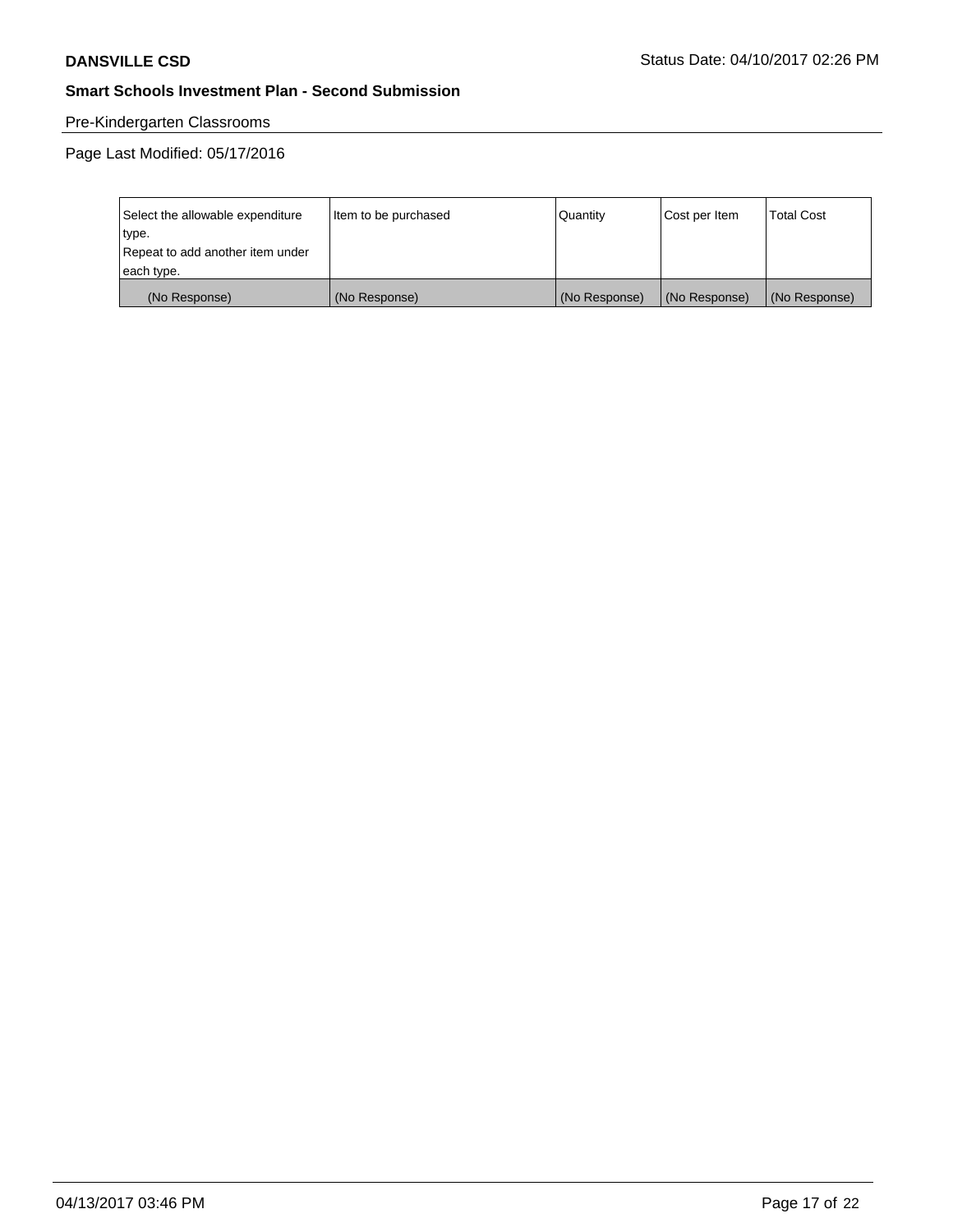# Pre-Kindergarten Classrooms

Page Last Modified: 05/17/2016

| Select the allowable expenditure | Item to be purchased | Quantity      | Cost per Item | <b>Total Cost</b> |
|----------------------------------|----------------------|---------------|---------------|-------------------|
| type.                            |                      |               |               |                   |
| Repeat to add another item under |                      |               |               |                   |
| each type.                       |                      |               |               |                   |
| (No Response)                    | (No Response)        | (No Response) | (No Response) | (No Response)     |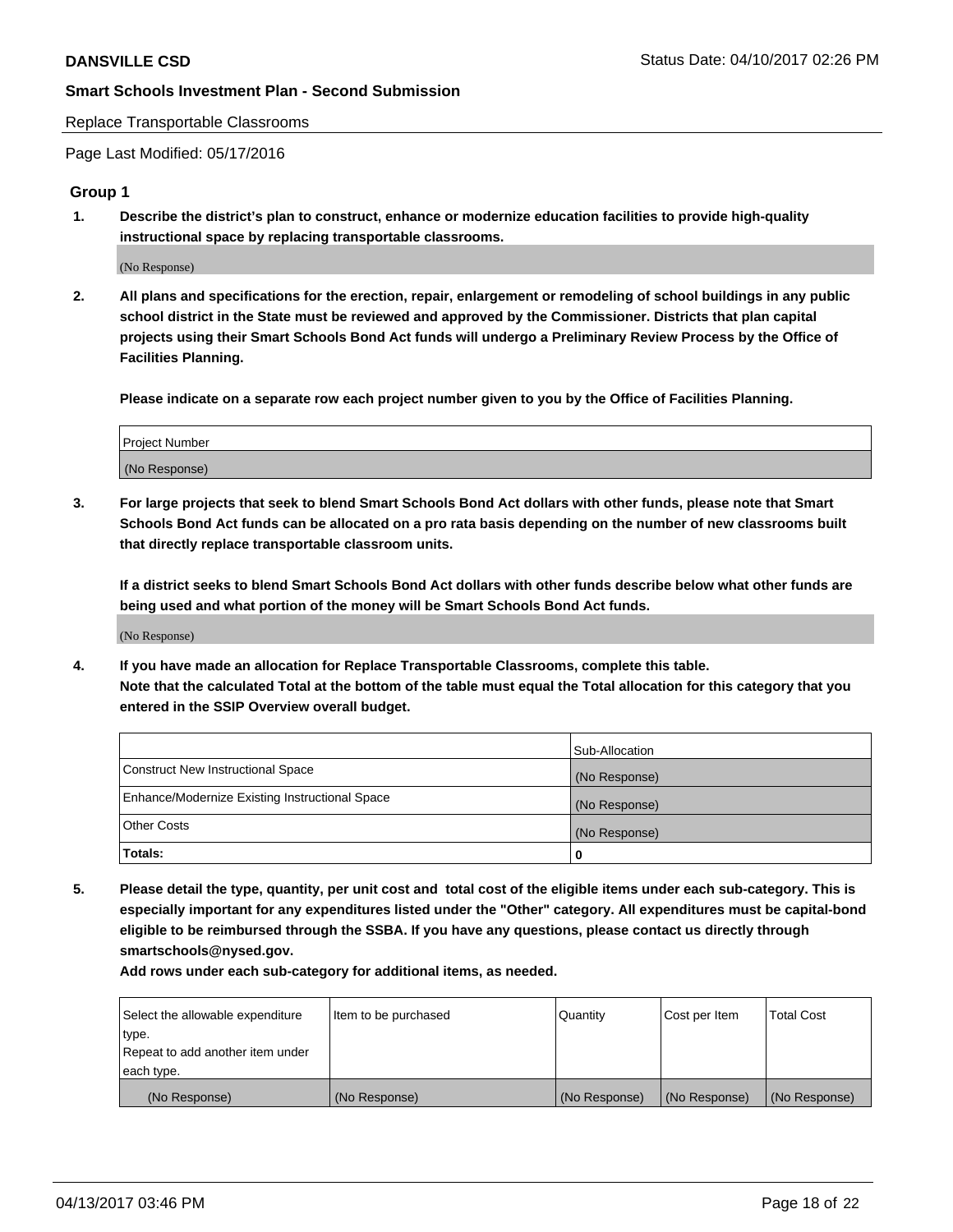#### Replace Transportable Classrooms

Page Last Modified: 05/17/2016

### **Group 1**

**1. Describe the district's plan to construct, enhance or modernize education facilities to provide high-quality instructional space by replacing transportable classrooms.**

(No Response)

**2. All plans and specifications for the erection, repair, enlargement or remodeling of school buildings in any public school district in the State must be reviewed and approved by the Commissioner. Districts that plan capital projects using their Smart Schools Bond Act funds will undergo a Preliminary Review Process by the Office of Facilities Planning.**

**Please indicate on a separate row each project number given to you by the Office of Facilities Planning.**

| Project Number |  |
|----------------|--|
| (No Response)  |  |

**3. For large projects that seek to blend Smart Schools Bond Act dollars with other funds, please note that Smart Schools Bond Act funds can be allocated on a pro rata basis depending on the number of new classrooms built that directly replace transportable classroom units.**

**If a district seeks to blend Smart Schools Bond Act dollars with other funds describe below what other funds are being used and what portion of the money will be Smart Schools Bond Act funds.**

(No Response)

**4. If you have made an allocation for Replace Transportable Classrooms, complete this table. Note that the calculated Total at the bottom of the table must equal the Total allocation for this category that you entered in the SSIP Overview overall budget.**

|                                                | Sub-Allocation |
|------------------------------------------------|----------------|
| Construct New Instructional Space              | (No Response)  |
| Enhance/Modernize Existing Instructional Space | (No Response)  |
| Other Costs                                    | (No Response)  |
| Totals:                                        | $\Omega$       |

**5. Please detail the type, quantity, per unit cost and total cost of the eligible items under each sub-category. This is especially important for any expenditures listed under the "Other" category. All expenditures must be capital-bond eligible to be reimbursed through the SSBA. If you have any questions, please contact us directly through smartschools@nysed.gov.**

| Select the allowable expenditure | Item to be purchased | Quantity      | Cost per Item | <b>Total Cost</b> |
|----------------------------------|----------------------|---------------|---------------|-------------------|
| type.                            |                      |               |               |                   |
| Repeat to add another item under |                      |               |               |                   |
| each type.                       |                      |               |               |                   |
| (No Response)                    | (No Response)        | (No Response) | (No Response) | (No Response)     |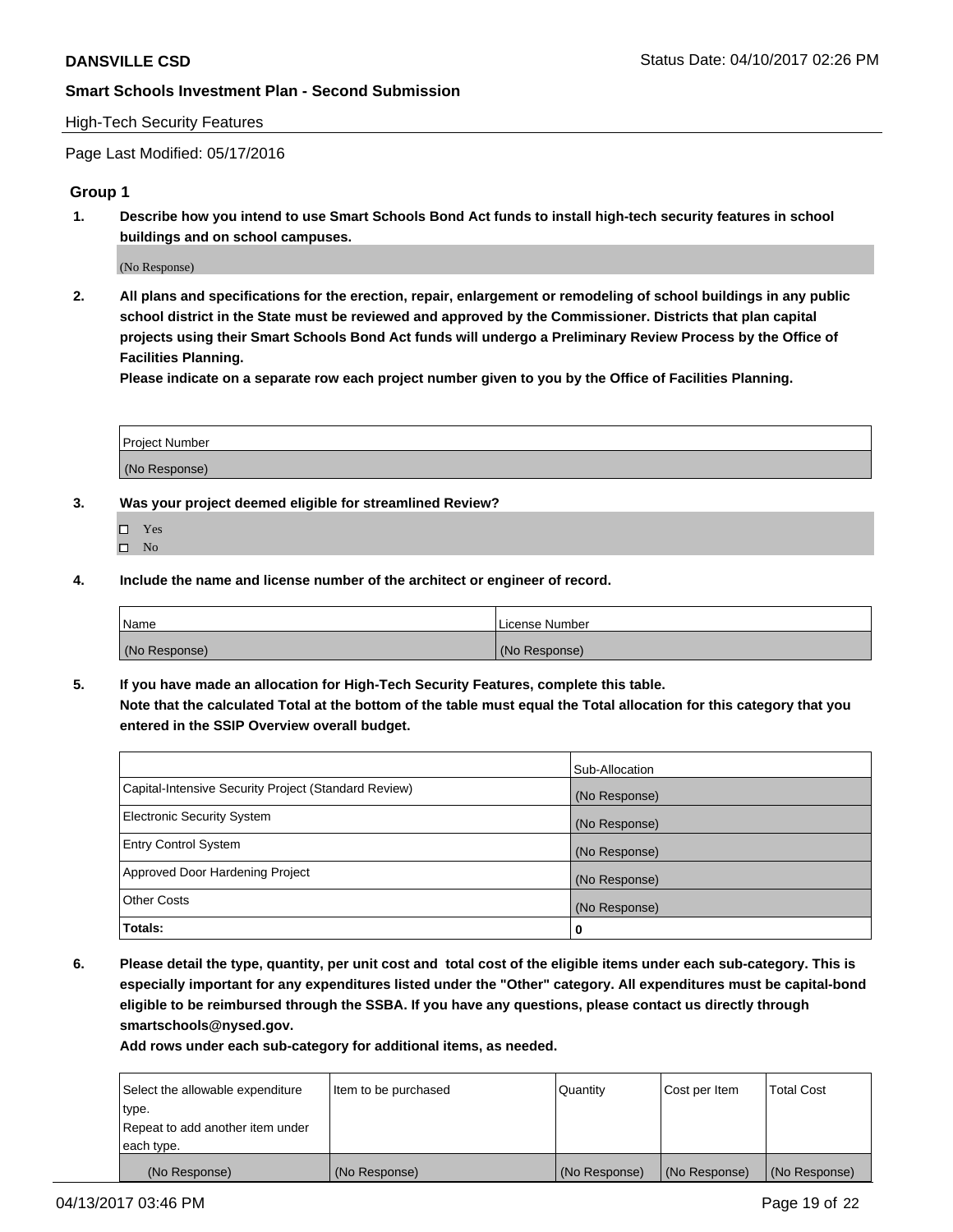#### High-Tech Security Features

Page Last Modified: 05/17/2016

## **Group 1**

**1. Describe how you intend to use Smart Schools Bond Act funds to install high-tech security features in school buildings and on school campuses.**

(No Response)

**2. All plans and specifications for the erection, repair, enlargement or remodeling of school buildings in any public school district in the State must be reviewed and approved by the Commissioner. Districts that plan capital projects using their Smart Schools Bond Act funds will undergo a Preliminary Review Process by the Office of Facilities Planning.** 

**Please indicate on a separate row each project number given to you by the Office of Facilities Planning.**

| Project Number |  |
|----------------|--|
|                |  |
| (No Response)  |  |

- **3. Was your project deemed eligible for streamlined Review?**
	- Yes  $\hfill \square$  No
- **4. Include the name and license number of the architect or engineer of record.**

| Name          | l License Number |
|---------------|------------------|
| (No Response) | (No Response)    |

**5. If you have made an allocation for High-Tech Security Features, complete this table. Note that the calculated Total at the bottom of the table must equal the Total allocation for this category that you entered in the SSIP Overview overall budget.**

|                                                      | Sub-Allocation |
|------------------------------------------------------|----------------|
| Capital-Intensive Security Project (Standard Review) | (No Response)  |
| <b>Electronic Security System</b>                    | (No Response)  |
| <b>Entry Control System</b>                          | (No Response)  |
| Approved Door Hardening Project                      | (No Response)  |
| <b>Other Costs</b>                                   | (No Response)  |
| Totals:                                              | 0              |

**6. Please detail the type, quantity, per unit cost and total cost of the eligible items under each sub-category. This is especially important for any expenditures listed under the "Other" category. All expenditures must be capital-bond eligible to be reimbursed through the SSBA. If you have any questions, please contact us directly through smartschools@nysed.gov.**

| (No Response)                    | (No Response)        | (No Response) | (No Response) | (No Response)     |
|----------------------------------|----------------------|---------------|---------------|-------------------|
| each type.                       |                      |               |               |                   |
| Repeat to add another item under |                      |               |               |                   |
| type.                            |                      |               |               |                   |
| Select the allowable expenditure | Item to be purchased | Quantity      | Cost per Item | <b>Total Cost</b> |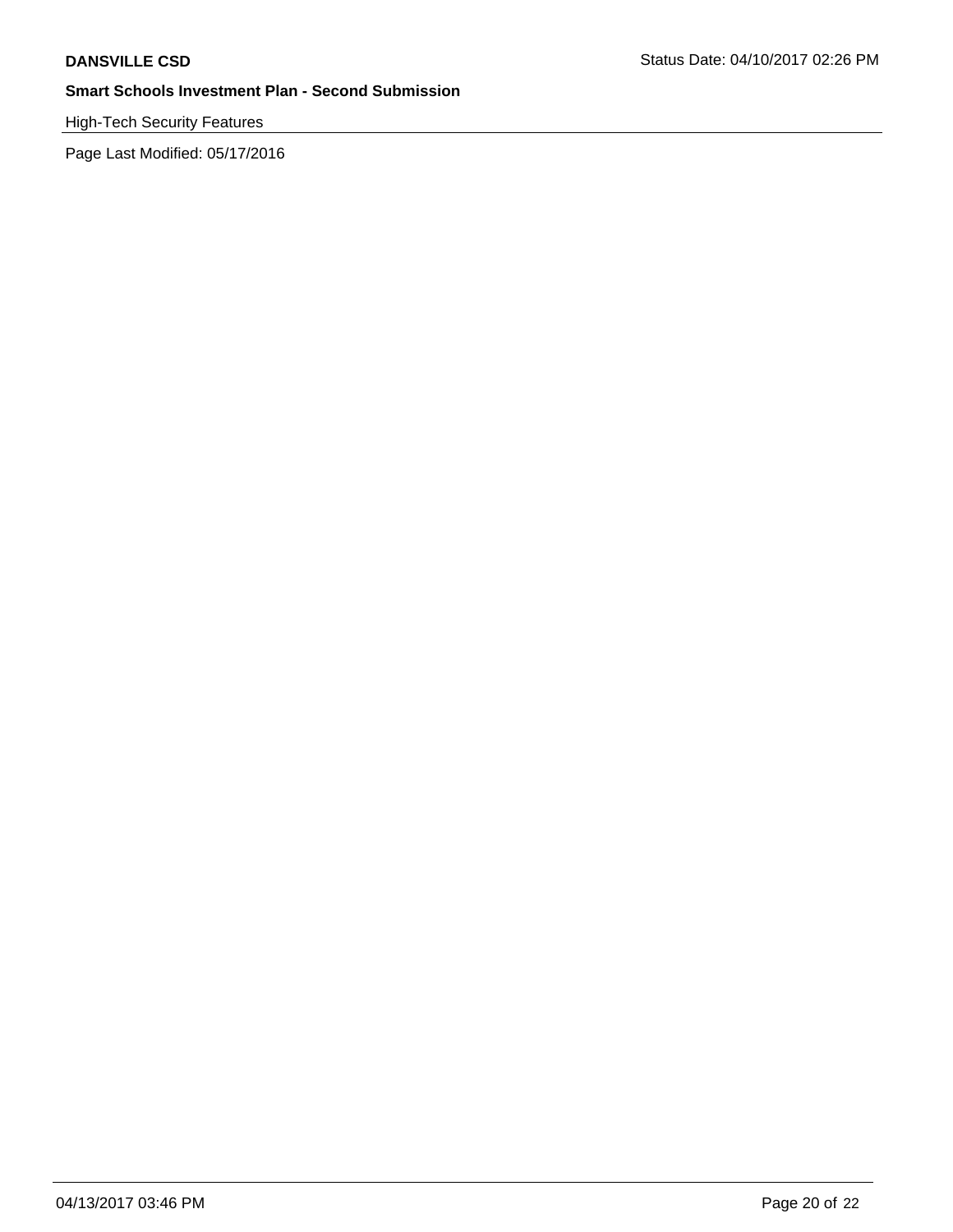# High-Tech Security Features

Page Last Modified: 05/17/2016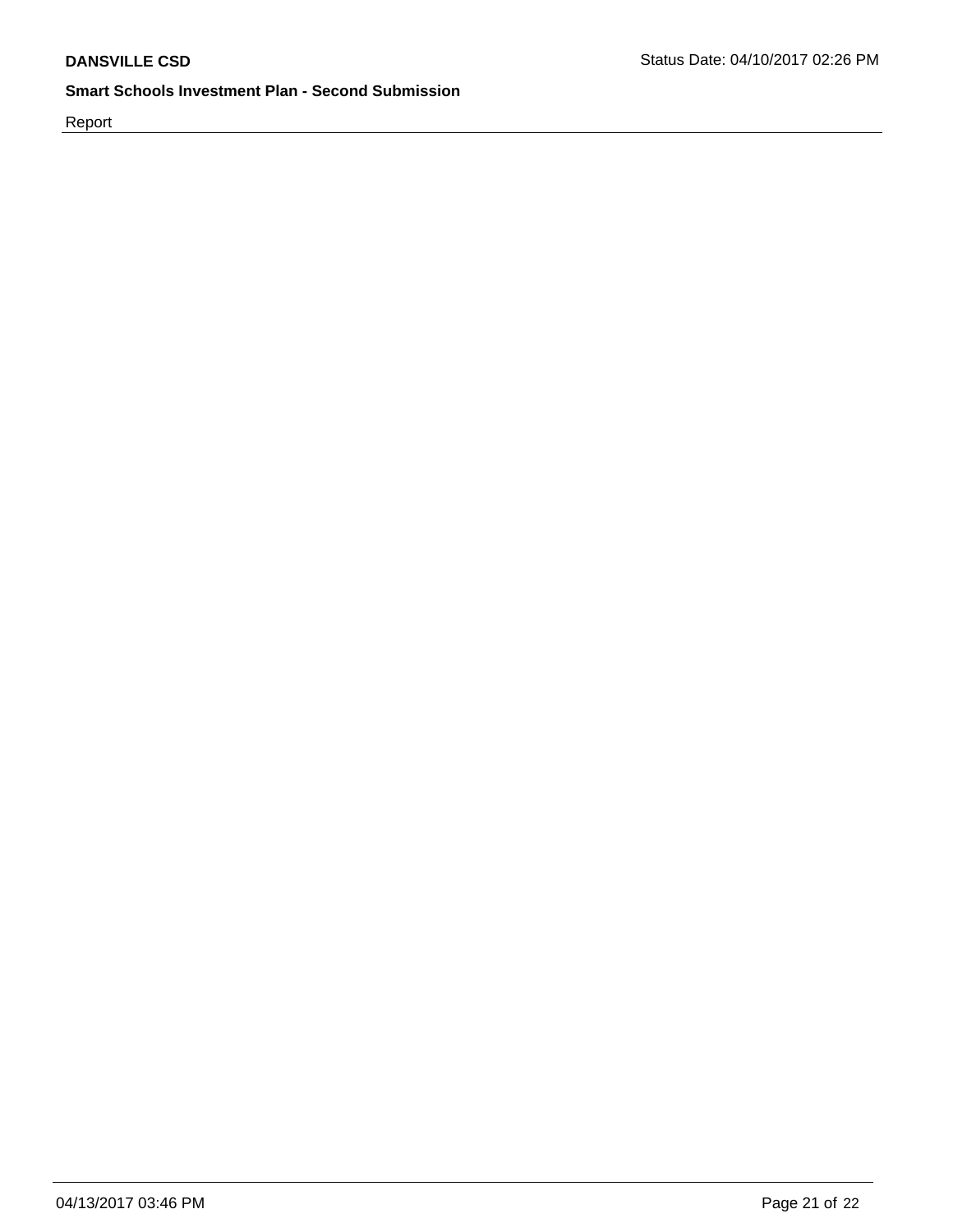Report